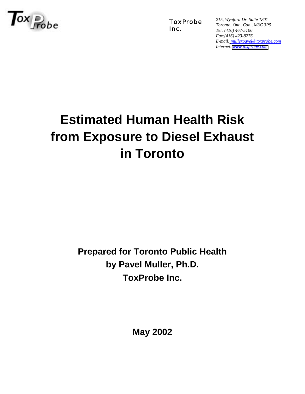

ToxProbe Inc.

*215, Wynford Dr. Suite 1801 Toronto, Ont., Can., M3C 3P5 Tel: (416) 467-5106 Fax:(416) 423-8276 E-mail: mullerpavel@toxprobe.com Internet: [www.toxprobe.com](http://www.toxprobe.com)*

# **Estimated Human Health Risk from Exposure to Diesel Exhaust in Toronto**

**Prepared for Toronto Public Health by Pavel Muller, Ph.D. ToxProbe Inc.**

**May 2002**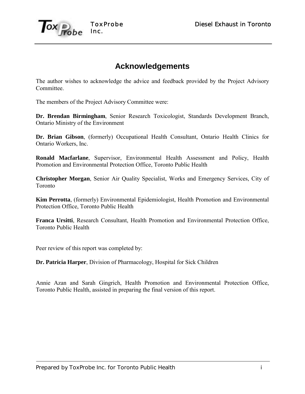

# **Acknowledgements**

The author wishes to acknowledge the advice and feedback provided by the Project Advisory Committee.

The members of the Project Advisory Committee were:

**Dr. Brendan Birmingham**, Senior Research Toxicologist, Standards Development Branch, Ontario Ministry of the Environment

**Dr. Brian Gibson**, (formerly) Occupational Health Consultant, Ontario Health Clinics for Ontario Workers, Inc.

**Ronald Macfarlane**, Supervisor, Environmental Health Assessment and Policy, Health Promotion and Environmental Protection Office, Toronto Public Health

**Christopher Morgan**, Senior Air Quality Specialist, Works and Emergency Services, City of Toronto

**Kim Perrotta**, (formerly) Environmental Epidemiologist, Health Promotion and Environmental Protection Office, Toronto Public Health

**Franca Ursitti**, Research Consultant, Health Promotion and Environmental Protection Office, Toronto Public Health

Peer review of this report was completed by:

**Dr. Patricia Harper**, Division of Pharmacology, Hospital for Sick Children

Annie Azan and Sarah Gingrich, Health Promotion and Environmental Protection Office, Toronto Public Health, assisted in preparing the final version of this report.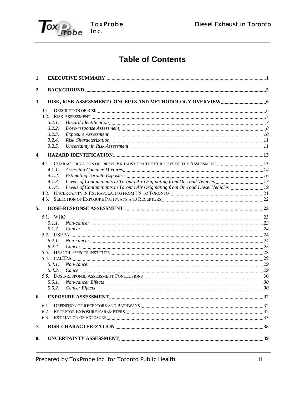

# **Table of Contents**

| 1. |                                                                                                                                                                                                                                          |     |
|----|------------------------------------------------------------------------------------------------------------------------------------------------------------------------------------------------------------------------------------------|-----|
| 2. |                                                                                                                                                                                                                                          |     |
| 3. |                                                                                                                                                                                                                                          |     |
|    |                                                                                                                                                                                                                                          |     |
|    |                                                                                                                                                                                                                                          |     |
|    | 3.2.1.                                                                                                                                                                                                                                   |     |
|    | 3.2.2.                                                                                                                                                                                                                                   |     |
|    | 3.2.3.                                                                                                                                                                                                                                   |     |
|    | 3.2.4.                                                                                                                                                                                                                                   |     |
|    | 3.2.5.                                                                                                                                                                                                                                   |     |
| 4. |                                                                                                                                                                                                                                          |     |
|    | 4.1. CHARACTERIZATION OF DIESEL EXHAUST FOR THE PURPOSES OF THE ASSESSMENT 13                                                                                                                                                            |     |
|    | 4.1.1.                                                                                                                                                                                                                                   |     |
|    | 4.1.2.<br>Estimating Toronto Exposure manufactured and the contract of the contract of the contract of the contract of the contract of the contract of the contract of the contract of the contract of the contract of the contract of t |     |
|    | Levels of Contaminants in Toronto Air Originating from On-road Vehicles 17<br>4.1.3.                                                                                                                                                     |     |
|    | Levels of Contaminants in Toronto Air Originating from On-road Diesel Vehicles 19<br>4.1.4.                                                                                                                                              |     |
|    |                                                                                                                                                                                                                                          |     |
|    |                                                                                                                                                                                                                                          |     |
| 5. |                                                                                                                                                                                                                                          |     |
|    |                                                                                                                                                                                                                                          |     |
|    | 5.1.1.                                                                                                                                                                                                                                   |     |
|    | 5.1.2.                                                                                                                                                                                                                                   |     |
|    |                                                                                                                                                                                                                                          |     |
|    | 5.2.1.                                                                                                                                                                                                                                   |     |
|    | 5.2.2.                                                                                                                                                                                                                                   |     |
|    |                                                                                                                                                                                                                                          |     |
|    |                                                                                                                                                                                                                                          |     |
|    | 5.4.1.                                                                                                                                                                                                                                   |     |
|    | 5.4.2.                                                                                                                                                                                                                                   |     |
|    |                                                                                                                                                                                                                                          |     |
|    | 5.5.1.                                                                                                                                                                                                                                   |     |
|    | 5.5.2.                                                                                                                                                                                                                                   |     |
| 6. | <b>EXPOSURE ASSESSMENT.</b>                                                                                                                                                                                                              | .32 |
|    |                                                                                                                                                                                                                                          |     |
|    |                                                                                                                                                                                                                                          |     |
|    | 6.3. ESTIMATION OF EXPOSURE <b>CONSECTED ASSESSED AS A SET AN ACTION</b> OF EXPOSURE <b>CONSECTED ASSESSED ASSESSED AS A SET AN ACTION</b>                                                                                               |     |
| 7. |                                                                                                                                                                                                                                          |     |
| 8. |                                                                                                                                                                                                                                          |     |
|    |                                                                                                                                                                                                                                          |     |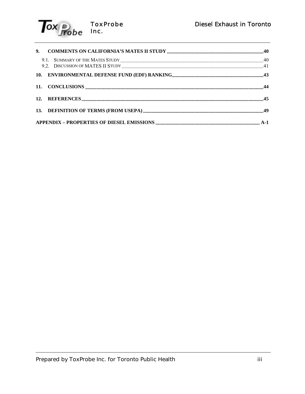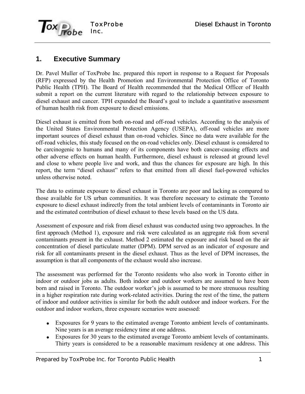

# **1. Executive Summary**

Dr. Pavel Muller of ToxProbe Inc. prepared this report in response to a Request for Proposals (RFP) expressed by the Health Promotion and Environmental Protection Office of Toronto Public Health (TPH). The Board of Health recommended that the Medical Officer of Health submit a report on the current literature with regard to the relationship between exposure to diesel exhaust and cancer. TPH expanded the Board's goal to include a quantitative assessment of human health risk from exposure to diesel emissions.

Diesel exhaust is emitted from both on-road and off-road vehicles. According to the analysis of the United States Environmental Protection Agency (USEPA), off-road vehicles are more important sources of diesel exhaust than on-road vehicles. Since no data were available for the off-road vehicles, this study focused on the on-road vehicles only. Diesel exhaust is considered to be carcinogenic to humans and many of its components have both cancer-causing effects and other adverse effects on human health. Furthermore, diesel exhaust is released at ground level and close to where people live and work, and thus the chances for exposure are high. In this report, the term "diesel exhaust" refers to that emitted from all diesel fuel-powered vehicles unless otherwise noted.

The data to estimate exposure to diesel exhaust in Toronto are poor and lacking as compared to those available for US urban communities. It was therefore necessary to estimate the Toronto exposure to diesel exhaust indirectly from the total ambient levels of contaminants in Toronto air and the estimated contribution of diesel exhaust to these levels based on the US data.

Assessment of exposure and risk from diesel exhaust was conducted using two approaches. In the first approach (Method 1), exposure and risk were calculated as an aggregate risk from several contaminants present in the exhaust. Method 2 estimated the exposure and risk based on the air concentration of diesel particulate matter (DPM). DPM served as an indicator of exposure and risk for all contaminants present in the diesel exhaust. Thus as the level of DPM increases, the assumption is that all components of the exhaust would also increase.

The assessment was performed for the Toronto residents who also work in Toronto either in indoor or outdoor jobs as adults. Both indoor and outdoor workers are assumed to have been born and raised in Toronto. The outdoor worker's job is assumed to be more strenuous resulting in a higher respiration rate during work-related activities. During the rest of the time, the pattern of indoor and outdoor activities is similar for both the adult outdoor and indoor workers. For the outdoor and indoor workers, three exposure scenarios were assessed:

- Exposures for 9 years to the estimated average Toronto ambient levels of contaminants. Nine years is an average residency time at one address.
- Exposures for 30 years to the estimated average Toronto ambient levels of contaminants. Thirty years is considered to be a reasonable maximum residency at one address. This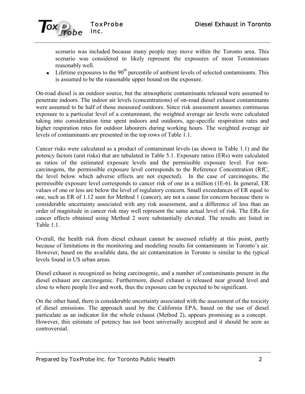

scenario was included because many people may move within the Toronto area. This scenario was considered to likely represent the exposures of most Torontonians reasonably well.

 $\bullet$  Lifetime exposures to the 90<sup>th</sup> percentile of ambient levels of selected contaminants. This is assumed to be the reasonable upper bound on the exposure.

On-road diesel is an outdoor source, but the atmospheric contaminants released were assumed to penetrate indoors. The indoor air levels (concentrations) of on-road diesel exhaust contaminants were assumed to be half of those measured outdoors. Since risk assessment assumes continuous exposure to a particular level of a contaminant, the weighted average air levels were calculated taking into consideration time spent indoors and outdoors, age-specific respiration rates and higher respiration rates for outdoor labourers during working hours. The weighted average air levels of contaminants are presented in the top rows of Table 1.1.

Cancer risks were calculated as a product of contaminant levels (as shown in Table 1.1) and the potency factors (unit risks) that are tabulated in Table 5.1. Exposure ratios (ERs) were calculated as ratios of the estimated exposure levels and the permissible exposure level. For noncarcinogens, the permissible exposure level corresponds to the Reference Concentration (RfC, the level below which adverse effects are not expected). In the case of carcinogens, the permissible exposure level corresponds to cancer risk of one in a million (1E-6). In general, ER values of one or less are below the level of regulatory concern. Small exceedances of ER equal to one, such as ER of 1.12 seen for Method 1 (cancer), are not a cause for concern because there is considerable uncertainty associated with any risk assessment, and a difference of less than an order of magnitude in cancer risk may well represent the same actual level of risk. The ERs for cancer effects obtained using Method 2 were substantially elevated. The results are listed in Table 1.1

Overall, the health risk from diesel exhaust cannot be assessed reliably at this point, partly because of limitations in the monitoring and modeling results for contaminants in Toronto's air. However, based on the available data, the air contamination in Toronto is similar to the typical levels found in US urban areas.

Diesel exhaust is recognized as being carcinogenic, and a number of contaminants present in the diesel exhaust are carcinogenic. Furthermore, diesel exhaust is released near ground level and close to where people live and work, thus the exposure can be expected to be significant.

On the other hand, there is considerable uncertainty associated with the assessment of the toxicity of diesel emissions. The approach used by the California EPA, based on the use of diesel particulate as an indicator for the whole exhaust (Method 2), appears promising as a concept. However, this estimate of potency has not been universally accepted and it should be seen as controversial.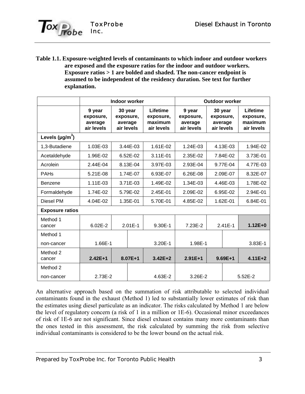

**Table 1.1. Exposure-weighted levels of contaminants to which indoor and outdoor workers are exposed and the exposure ratios for the indoor and outdoor workers. Exposure ratios > 1 are bolded and shaded. The non-cancer endpoint is assumed to be independent of the residency duration. See text for further explanation.**

|                        | Indoor worker                                |  |                                               |                                                | <b>Outdoor worker</b>                        |                                               |           |                                                |  |
|------------------------|----------------------------------------------|--|-----------------------------------------------|------------------------------------------------|----------------------------------------------|-----------------------------------------------|-----------|------------------------------------------------|--|
|                        | 9 year<br>exposure,<br>average<br>air levels |  | 30 year<br>exposure,<br>average<br>air levels | Lifetime<br>exposure,<br>maximum<br>air levels | 9 year<br>exposure,<br>average<br>air levels | 30 year<br>exposure,<br>average<br>air levels |           | Lifetime<br>exposure,<br>maximum<br>air levels |  |
| Levels $(\mu g/m^3)$   |                                              |  |                                               |                                                |                                              |                                               |           |                                                |  |
| 1,3-Butadiene          | 1.03E-03                                     |  | 3.44E-03                                      | 1.61E-02                                       | 1.24E-03                                     |                                               | 4.13E-03  | 1.94E-02                                       |  |
| Acetaldehyde           | 1.96E-02                                     |  | 6.52E-02                                      | 3.11E-01                                       | 2.35E-02                                     |                                               | 7.84E-02  | 3.73E-01                                       |  |
| Acrolein               | 2.44E-04                                     |  | 8.13E-04                                      | 3.97E-03                                       | 2.93E-04                                     |                                               | 9.77E-04  | 4.77E-03                                       |  |
| <b>PAHs</b>            | 5.21E-08                                     |  | 1.74E-07                                      | 6.93E-07                                       | 6.26E-08                                     | 2.09E-07                                      |           | 8.32E-07                                       |  |
| Benzene                | 1.11E-03                                     |  | 3.71E-03                                      | 1.49E-02                                       | 1.34E-03                                     | 4.46E-03                                      |           | 1.78E-02                                       |  |
| Formaldehyde           | 1.74E-02                                     |  | 5.79E-02                                      | 2.45E-01                                       | 2.09E-02                                     | 6.95E-02                                      |           | 2.94E-01                                       |  |
| Diesel PM              | $4.04E - 02$                                 |  | 1.35E-01                                      | 5.70E-01                                       | 4.85E-02                                     | 1.62E-01                                      |           | 6.84E-01                                       |  |
| <b>Exposure ratios</b> |                                              |  |                                               |                                                |                                              |                                               |           |                                                |  |
| Method 1<br>cancer     | $6.02E - 2$                                  |  | $2.01E-1$                                     | 9.30E-1                                        | 7.23E-2                                      | $2.41E-1$                                     |           | $1.12E + 0$                                    |  |
| Method 1               |                                              |  |                                               |                                                |                                              |                                               |           |                                                |  |
| non-cancer             | 1.66E-1                                      |  |                                               | 3.20E-1                                        | 1.98E-1                                      |                                               |           | 3.83E-1                                        |  |
| Method 2<br>cancer     | $2.42E+1$                                    |  | $8.07E + 1$                                   | $3.42E + 2$                                    | $2.91E+1$                                    |                                               | $9.69E+1$ | $4.11E + 2$                                    |  |
| Method 2               |                                              |  |                                               |                                                |                                              |                                               |           |                                                |  |
| non-cancer             | 2.73E-2                                      |  |                                               | 4.63E-2                                        | 3.26E-2                                      |                                               |           | $5.52E - 2$                                    |  |

An alternative approach based on the summation of risk attributable to selected individual contaminants found in the exhaust (Method 1) led to substantially lower estimates of risk than the estimates using diesel particulate as an indicator. The risks calculated by Method 1 are below the level of regulatory concern (a risk of 1 in a million or 1E-6). Occasional minor exceedances of risk of 1E-6 are not significant. Since diesel exhaust contains many more contaminants than the ones tested in this assessment, the risk calculated by summing the risk from selective individual contaminants is considered to be the lower bound on the actual risk.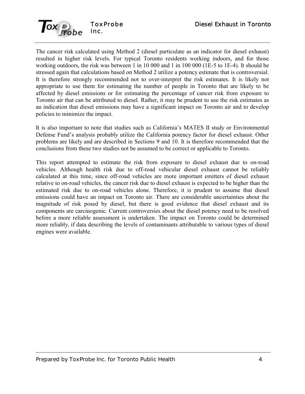

The cancer risk calculated using Method 2 (diesel particulate as an indicator for diesel exhaust) resulted in higher risk levels. For typical Toronto residents working indoors, and for those working outdoors, the risk was between 1 in 10 000 and 1 in 100 000 (1E-5 to 1E-4). It should be stressed again that calculations based on Method 2 utilize a potency estimate that is controversial. It is therefore strongly recommended not to over-interpret the risk estimates. It is likely not appropriate to use them for estimating the number of people in Toronto that are likely to be affected by diesel emissions or for estimating the percentage of cancer risk from exposure to Toronto air that can be attributed to diesel. Rather, it may be prudent to use the risk estimates as an indication that diesel emissions may have a significant impact on Toronto air and to develop policies to minimize the impact.

It is also important to note that studies such as Californiaís MATES II study or Environmental Defense Fund's analysis probably utilize the California potency factor for diesel exhaust. Other problems are likely and are described in Sections 9 and 10. It is therefore recommended that the conclusions from these two studies not be assumed to be correct or applicable to Toronto.

This report attempted to estimate the risk from exposure to diesel exhaust due to on-road vehicles. Although health risk due to off-road vehicular diesel exhaust cannot be reliably calculated at this time, since off-road vehicles are more important emitters of diesel exhaust relative to on-road vehicles, the cancer risk due to diesel exhaust is expected to be higher than the estimated risk due to on-road vehicles alone. Therefore, it is prudent to assume that diesel emissions could have an impact on Toronto air. There are considerable uncertainties about the magnitude of risk posed by diesel, but there is good evidence that diesel exhaust and its components are carcinogenic. Current controversies about the diesel potency need to be resolved before a more reliable assessment is undertaken. The impact on Toronto could be determined more reliably, if data describing the levels of contaminants attributable to various types of diesel engines were available.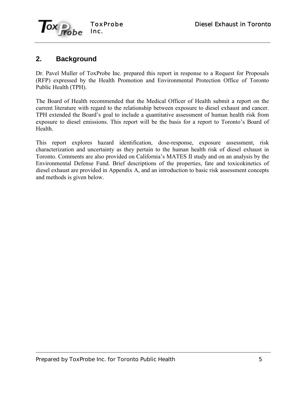

## **2. Background**

Dr. Pavel Muller of ToxProbe Inc. prepared this report in response to a Request for Proposals (RFP) expressed by the Health Promotion and Environmental Protection Office of Toronto Public Health (TPH).

The Board of Health recommended that the Medical Officer of Health submit a report on the current literature with regard to the relationship between exposure to diesel exhaust and cancer. TPH extended the Board's goal to include a quantitative assessment of human health risk from exposure to diesel emissions. This report will be the basis for a report to Toronto's Board of Health.

This report explores hazard identification, dose-response, exposure assessment, risk characterization and uncertainty as they pertain to the human health risk of diesel exhaust in Toronto. Comments are also provided on California's MATES II study and on an analysis by the Environmental Defense Fund. Brief descriptions of the properties, fate and toxicokinetics of diesel exhaust are provided in Appendix A, and an introduction to basic risk assessment concepts and methods is given below.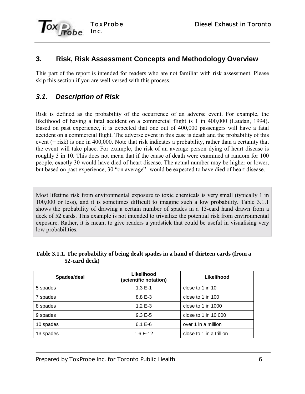

## **3. Risk, Risk Assessment Concepts and Methodology Overview**

This part of the report is intended for readers who are not familiar with risk assessment. Please skip this section if you are well versed with this process.

# *3.1. Description of Risk*

Risk is defined as the probability of the occurrence of an adverse event. For example, the likelihood of having a fatal accident on a commercial flight is 1 in 400,000 (Laudan, 1994)**.** Based on past experience, it is expected that one out of 400,000 passengers will have a fatal accident on a commercial flight. The adverse event in this case is death and the probability of this event (= risk) is one in 400,000. Note that risk indicates a probability, rather than a certainty that the event will take place. For example, the risk of an average person dying of heart disease is roughly 3 in 10. This does not mean that if the cause of death were examined at random for 100 people, exactly 30 would have died of heart disease. The actual number may be higher or lower, but based on past experience, 30 "on average" would be expected to have died of heart disease.

Most lifetime risk from environmental exposure to toxic chemicals is very small (typically 1 in 100,000 or less), and it is sometimes difficult to imagine such a low probability. Table 3.1.1 shows the probability of drawing a certain number of spades in a 13-card hand drawn from a deck of 52 cards. This example is not intended to trivialize the potential risk from environmental exposure. Rather, it is meant to give readers a yardstick that could be useful in visualising very low probabilities.

|               | Table 3.1.1. The probability of being dealt spades in a hand of thirteen cards (from a |  |
|---------------|----------------------------------------------------------------------------------------|--|
| 52-card deck) |                                                                                        |  |

| Spades/deal | Likelihood<br>(scientific notation) | Likelihood               |
|-------------|-------------------------------------|--------------------------|
| 5 spades    | $1.3E - 1$                          | close to 1 in 10         |
| 7 spades    | $8.8E - 3$                          | close to 1 in 100        |
| 8 spades    | 1.2 $E - 3$                         | close to 1 in 1000       |
| 9 spades    | $9.3E - 5$                          | close to 1 in 10 000     |
| 10 spades   | $6.1 E-6$                           | over 1 in a million      |
| 13 spades   | $1.6E - 12$                         | close to 1 in a trillion |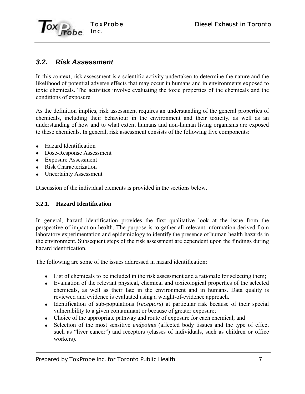

## *3.2. Risk Assessment*

In this context, risk assessment is a scientific activity undertaken to determine the nature and the likelihood of potential adverse effects that may occur in humans and in environments exposed to toxic chemicals. The activities involve evaluating the toxic properties of the chemicals and the conditions of exposure.

As the definition implies, risk assessment requires an understanding of the general properties of chemicals, including their behaviour in the environment and their toxicity, as well as an understanding of how and to what extent humans and non-human living organisms are exposed to these chemicals. In general, risk assessment consists of the following five components:

- Hazard Identification
- Dose-Response Assessment
- Exposure Assessment
- Risk Characterization
- Uncertainty Assessment

Discussion of the individual elements is provided in the sections below.

### **3.2.1. Hazard Identification**

In general, hazard identification provides the first qualitative look at the issue from the perspective of impact on health. The purpose is to gather all relevant information derived from laboratory experimentation and epidemiology to identify the presence of human health hazards in the environment. Subsequent steps of the risk assessment are dependent upon the findings during hazard identification.

The following are some of the issues addressed in hazard identification:

- List of chemicals to be included in the risk assessment and a rationale for selecting them;
- Evaluation of the relevant physical, chemical and toxicological properties of the selected chemicals, as well as their fate in the environment and in humans. Data quality is reviewed and evidence is evaluated using a weight-of-evidence approach.
- Identification of sub-populations (*receptors*) at particular risk because of their special vulnerability to a given contaminant or because of greater exposure;
- Choice of the appropriate pathway and route of exposure for each chemical; and
- Selection of the most sensitive *endpoints* (affected body tissues and the type of effect such as "liver cancer") and receptors (classes of individuals, such as children or office workers).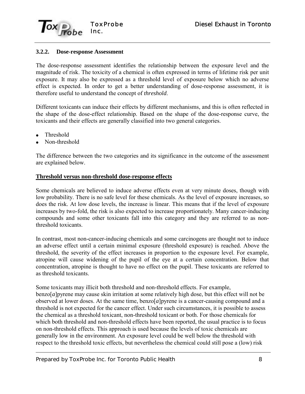

#### **3.2.2. Dose-response Assessment**

The dose-response assessment identifies the relationship between the exposure level and the magnitude of risk. The toxicity of a chemical is often expressed in terms of lifetime risk per unit exposure. It may also be expressed as a threshold level of exposure below which no adverse effect is expected. In order to get a better understanding of dose-response assessment, it is therefore useful to understand the concept of *threshold*.

Different toxicants can induce their effects by different mechanisms, and this is often reflected in the shape of the dose-effect relationship. Based on the shape of the dose-response curve, the toxicants and their effects are generally classified into two general categories.

- Threshold
- Non-threshold

The difference between the two categories and its significance in the outcome of the assessment are explained below.

#### **Threshold versus non-threshold dose-response effects**

Some chemicals are believed to induce adverse effects even at very minute doses, though with low probability. There is no safe level for these chemicals. As the level of exposure increases, so does the risk. At low dose levels, the increase is linear. This means that if the level of exposure increases by two-fold, the risk is also expected to increase proportionately. Many cancer-inducing compounds and some other toxicants fall into this category and they are referred to as nonthreshold toxicants.

In contrast, most non-cancer-inducing chemicals and some carcinogens are thought not to induce an adverse effect until a certain minimal exposure (threshold exposure) is reached. Above the threshold, the severity of the effect increases in proportion to the exposure level. For example, atropine will cause widening of the pupil of the eye at a certain concentration. Below that concentration, atropine is thought to have no effect on the pupil. These toxicants are referred to as threshold toxicants.

Some toxicants may illicit both threshold and non-threshold effects. For example, benzo[*a*]pyrene may cause skin irritation at some relatively high dose, but this effect will not be observed at lower doses. At the same time, benzo[*a*]pyrene is a cancer-causing compound and a threshold is not expected for the cancer effect. Under such circumstances, it is possible to assess the chemical as a threshold toxicant, non-threshold toxicant or both. For those chemicals for which both threshold and non-threshold effects have been reported, the usual practice is to focus on non-threshold effects. This approach is used because the levels of toxic chemicals are generally low in the environment. An exposure level could be well below the threshold with respect to the threshold toxic effects, but nevertheless the chemical could still pose a (low) risk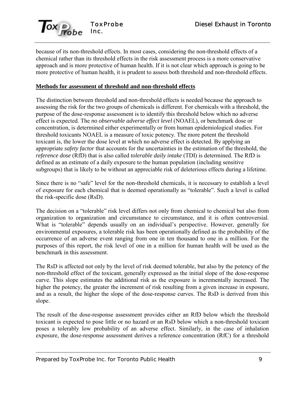

because of its non-threshold effects. In most cases, considering the non-threshold effects of a chemical rather than its threshold effects in the risk assessment process is a more conservative approach and is more protective of human health. If it is not clear which approach is going to be more protective of human health, it is prudent to assess both threshold and non-threshold effects.

#### **Methods for assessment of threshold and non-threshold effects**

The distinction between threshold and non-threshold effects is needed because the approach to assessing the risk for the two groups of chemicals is different. For chemicals with a threshold, the purpose of the dose-response assessment is to identify this threshold below which no adverse effect is expected. The *no observable adverse effect level* (NOAEL), or benchmark dose or concentration, is determined either experimentally or from human epidemiological studies. For threshold toxicants NOAEL is a measure of toxic potency. The more potent the threshold toxicant is, the lower the dose level at which no adverse effect is detected. By applying an appropriate *safety factor* that accounts for the uncertainties in the estimation of the threshold, the *reference dose* (RfD) that is also called *tolerable daily intake* (TDI) is determined. The RfD is defined as an estimate of a daily exposure to the human population (including sensitive subgroups) that is likely to be without an appreciable risk of deleterious effects during a lifetime.

Since there is no "safe" level for the non-threshold chemicals, it is necessary to establish a level of exposure for each chemical that is deemed operationally as "tolerable". Such a level is called the risk-specific dose (RsD).

The decision on a "tolerable" risk level differs not only from chemical to chemical but also from organization to organization and circumstance to circumstance, and it is often controversial. What is "tolerable" depends usually on an individual's perspective. However, generally for environmental exposures, a tolerable risk has been operationally defined as the probability of the occurrence of an adverse event ranging from one in ten thousand to one in a million. For the purposes of this report, the risk level of one in a million for human health will be used as the benchmark in this assessment.

The RsD is affected not only by the level of risk deemed tolerable, but also by the potency of the non-threshold effect of the toxicant, generally expressed as the initial slope of the dose-response curve. This slope estimates the additional risk as the exposure is incrementally increased. The higher the potency, the greater the increment of risk resulting from a given increase in exposure, and as a result, the higher the slope of the dose-response curves. The RsD is derived from this slope.

The result of the dose-response assessment provides either an RfD below which the threshold toxicant is expected to pose little or no hazard or an RsD below which a non-threshold toxicant poses a tolerably low probability of an adverse effect. Similarly, in the case of inhalation exposure, the dose-response assessment derives a reference concentration (RfC) for a threshold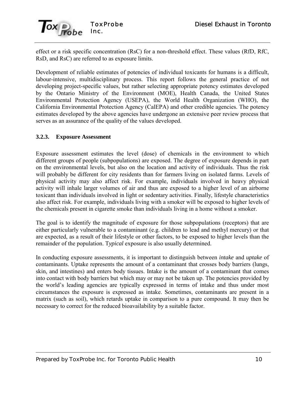

effect or a risk specific concentration (RsC) for a non-threshold effect. These values (RfD, RfC, RsD, and RsC) are referred to as exposure limits.

Development of reliable estimates of potencies of individual toxicants for humans is a difficult, labour-intensive, multidisciplinary process. This report follows the general practice of not developing project-specific values, but rather selecting appropriate potency estimates developed by the Ontario Ministry of the Environment (MOE), Health Canada, the United States Environmental Protection Agency (USEPA), the World Health Organization (WHO), the California Environmental Protection Agency (CalEPA) and other credible agencies. The potency estimates developed by the above agencies have undergone an extensive peer review process that serves as an assurance of the quality of the values developed.

### **3.2.3. Exposure Assessment**

Exposure assessment estimates the level (dose) of chemicals in the environment to which different groups of people (subpopulations) are exposed. The degree of exposure depends in part on the environmental levels, but also on the location and activity of individuals. Thus the risk will probably be different for city residents than for farmers living on isolated farms. Levels of physical activity may also affect risk. For example, individuals involved in heavy physical activity will inhale larger volumes of air and thus are exposed to a higher level of an airborne toxicant than individuals involved in light or sedentary activities. Finally, lifestyle characteristics also affect risk. For example, individuals living with a smoker will be exposed to higher levels of the chemicals present in cigarette smoke than individuals living in a home without a smoker.

The goal is to identify the magnitude of exposure for those subpopulations (receptors) that are either particularly vulnerable to a contaminant (e.g. children to lead and methyl mercury) or that are expected, as a result of their lifestyle or other factors, to be exposed to higher levels than the remainder of the population. T*ypical* exposure is also usually determined.

In conducting exposure assessments, it is important to distinguish between *intake* and *uptake* of contaminants. Uptake represents the amount of a contaminant that crosses body barriers (lungs, skin, and intestines) and enters body tissues. Intake is the amount of a contaminant that comes into contact with body barriers but which may or may not be taken up. The potencies provided by the world's leading agencies are typically expressed in terms of intake and thus under most circumstances the exposure is expressed as intake. Sometimes, contaminants are present in a matrix (such as soil), which retards uptake in comparison to a pure compound. It may then be necessary to correct for the reduced bioavailability by a suitable factor.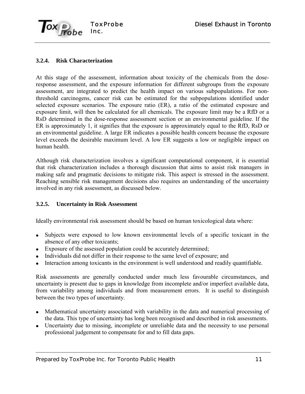

### **3.2.4. Risk Characterization**

At this stage of the assessment, information about toxicity of the chemicals from the doseresponse assessment, and the exposure information for different subgroups from the exposure assessment, are integrated to predict the health impact on various subpopulations. For nonthreshold carcinogens, cancer risk can be estimated for the subpopulations identified under selected exposure scenarios. The exposure ratio (ER), a ratio of the estimated exposure and exposure limit, will then be calculated for all chemicals. The exposure limit may be a RfD or a RsD determined in the dose-response assessment section or an environmental guideline. If the ER is approximately 1, it signifies that the exposure is approximately equal to the RfD, RsD or an environmental guideline. A large ER indicates a possible health concern because the exposure level exceeds the desirable maximum level. A low ER suggests a low or negligible impact on human health.

Although risk characterization involves a significant computational component, it is essential that risk characterization includes a thorough discussion that aims to assist risk managers in making safe and pragmatic decisions to mitigate risk. This aspect is stressed in the assessment. Reaching sensible risk management decisions also requires an understanding of the uncertainty involved in any risk assessment, as discussed below.

### **3.2.5. Uncertainty in Risk Assessment**

Ideally environmental risk assessment should be based on human toxicological data where:

- Subjects were exposed to low known environmental levels of a specific toxicant in the absence of any other toxicants;
- Exposure of the assessed population could be accurately determined;
- Individuals did not differ in their response to the same level of exposure; and
- Interaction among toxicants in the environment is well understood and readily quantifiable.

Risk assessments are generally conducted under much less favourable circumstances, and uncertainty is present due to gaps in knowledge from incomplete and/or imperfect available data, from variability among individuals and from measurement errors. It is useful to distinguish between the two types of uncertainty.

- Mathematical uncertainty associated with variability in the data and numerical processing of the data. This type of uncertainty has long been recognised and described in risk assessments.
- Uncertainty due to missing, incomplete or unreliable data and the necessity to use personal professional judgement to compensate for and to fill data gaps.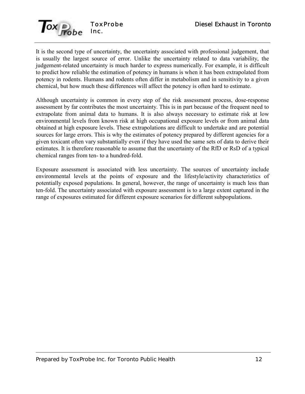

It is the second type of uncertainty, the uncertainty associated with professional judgement, that is usually the largest source of error. Unlike the uncertainty related to data variability, the judgement-related uncertainty is much harder to express numerically. For example, it is difficult to predict how reliable the estimation of potency in humans is when it has been extrapolated from potency in rodents. Humans and rodents often differ in metabolism and in sensitivity to a given chemical, but how much these differences will affect the potency is often hard to estimate.

Although uncertainty is common in every step of the risk assessment process, dose-response assessment by far contributes the most uncertainty. This is in part because of the frequent need to extrapolate from animal data to humans. It is also always necessary to estimate risk at low environmental levels from known risk at high occupational exposure levels or from animal data obtained at high exposure levels. These extrapolations are difficult to undertake and are potential sources for large errors. This is why the estimates of potency prepared by different agencies for a given toxicant often vary substantially even if they have used the same sets of data to derive their estimates. It is therefore reasonable to assume that the uncertainty of the RfD or RsD of a typical chemical ranges from ten- to a hundred-fold.

Exposure assessment is associated with less uncertainty. The sources of uncertainty include environmental levels at the points of exposure and the lifestyle/activity characteristics of potentially exposed populations. In general, however, the range of uncertainty is much less than ten-fold. The uncertainty associated with exposure assessment is to a large extent captured in the range of exposures estimated for different exposure scenarios for different subpopulations.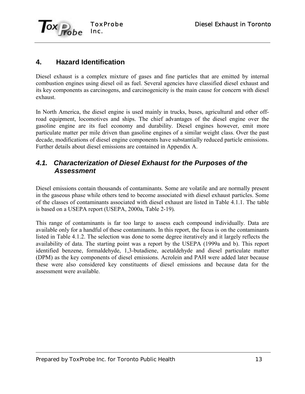

# **4. Hazard Identification**

Diesel exhaust is a complex mixture of gases and fine particles that are emitted by internal combustion engines using diesel oil as fuel. Several agencies have classified diesel exhaust and its key components as carcinogens, and carcinogenicity is the main cause for concern with diesel exhaust.

In North America, the diesel engine is used mainly in trucks, buses, agricultural and other offroad equipment, locomotives and ships. The chief advantages of the diesel engine over the gasoline engine are its fuel economy and durability. Diesel engines however, emit more particulate matter per mile driven than gasoline engines of a similar weight class. Over the past decade, modifications of diesel engine components have substantially reduced particle emissions. Further details about diesel emissions are contained in Appendix A.

### *4.1. Characterization of Diesel Exhaust for the Purposes of the Assessment*

Diesel emissions contain thousands of contaminants. Some are volatile and are normally present in the gaseous phase while others tend to become associated with diesel exhaust particles. Some of the classes of contaminants associated with diesel exhaust are listed in Table 4.1.1. The table is based on a USEPA report (USEPA, 2000a, Table 2-19)*.*

This range of contaminants is far too large to assess each compound individually. Data are available only for a handful of these contaminants. In this report, the focus is on the contaminants listed in Table 4.1.2. The selection was done to some degree iteratively and it largely reflects the availability of data. The starting point was a report by the USEPA (1999a and b). This report identified benzene, formaldehyde, 1,3-butadiene, acetaldehyde and diesel particulate matter (DPM) as the key components of diesel emissions. Acrolein and PAH were added later because these were also considered key constituents of diesel emissions and because data for the assessment were available.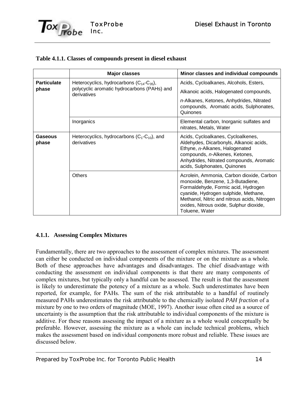|                    | <b>Major classes</b>                                            | Minor classes and individual compounds                                                                                                                                                                                                                                     |
|--------------------|-----------------------------------------------------------------|----------------------------------------------------------------------------------------------------------------------------------------------------------------------------------------------------------------------------------------------------------------------------|
| <b>Particulate</b> | Heterocyclics, hydrocarbons $(C_{14}-C_{35})$ ,                 | Acids, Cycloalkanes, Alcohols, Esters,                                                                                                                                                                                                                                     |
| phase              | polycyclic aromatic hydrocarbons (PAHs) and<br>derivatives      | Alkanoic acids, Halogenated compounds,                                                                                                                                                                                                                                     |
|                    |                                                                 | n-Alkanes, Ketones, Anhydrides, Nitrated<br>compounds, Aromatic acids, Sulphonates,<br>Quinones                                                                                                                                                                            |
|                    | Inorganics                                                      | Elemental carbon, Inorganic sulfates and<br>nitrates, Metals, Water                                                                                                                                                                                                        |
| Gaseous<br>phase   | Heterocyclics, hydrocarbons $(C_1-C_{10})$ , and<br>derivatives | Acids, Cycloalkanes, Cycloalkenes,<br>Aldehydes, Dicarbonyls, Alkanoic acids,<br>Ethyne, n-Alkanes, Halogenated<br>compounds, n-Alkenes, Ketones,<br>Anhydrides, Nitrated compounds, Aromatic<br>acids, Sulphonates, Quinones                                              |
|                    | <b>Others</b>                                                   | Acrolein, Ammonia, Carbon dioxide, Carbon<br>monoxide, Benzene, 1,3-Butadiene,<br>Formaldehyde, Formic acid, Hydrogen<br>cyanide, Hydrogen sulphide, Methane,<br>Methanol, Nitric and nitrous acids, Nitrogen<br>oxides, Nitrous oxide, Sulphur dioxide,<br>Toluene, Water |

### **Table 4.1.1. Classes of compounds present in diesel exhaust**

### **4.1.1. Assessing Complex Mixtures**

Fundamentally, there are two approaches to the assessment of complex mixtures. The assessment can either be conducted on individual components of the mixture or on the mixture as a whole. Both of these approaches have advantages and disadvantages. The chief disadvantage with conducting the assessment on individual components is that there are many components of complex mixtures, but typically only a handful can be assessed. The result is that the assessment is likely to underestimate the potency of a mixture as a whole. Such underestimates have been reported, for example, for PAHs. The sum of the risk attributable to a handful of routinely measured PAHs underestimates the risk attributable to the chemically isolated *PAH fraction* of a mixture by one to two orders of magnitude (MOE, 1997). Another issue often cited as a source of uncertainty is the assumption that the risk attributable to individual components of the mixture is additive. For these reasons assessing the impact of a mixture as a whole would conceptually be preferable. However, assessing the mixture as a whole can include technical problems, which makes the assessment based on individual components more robust and reliable. These issues are discussed below.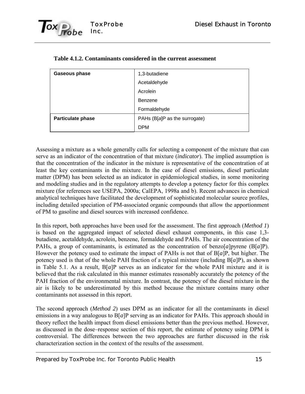

| Gaseous phase            | 1,3-butadiene                 |
|--------------------------|-------------------------------|
|                          | Acetaldehyde                  |
|                          | Acrolein                      |
|                          | Benzene                       |
|                          | Formaldehyde                  |
| <b>Particulate phase</b> | PAHs (B[a]P as the surrogate) |
|                          | <b>DPM</b>                    |

| Table 4.1.2. Contaminants considered in the current assessment |  |  |
|----------------------------------------------------------------|--|--|
|                                                                |  |  |

Assessing a mixture as a whole generally calls for selecting a component of the mixture that can serve as an indicator of the concentration of that mixture (*indicator*). The implied assumption is that the concentration of the indicator in the mixture is representative of the concentration of at least the key contaminants in the mixture. In the case of diesel emissions, diesel particulate matter (DPM) has been selected as an indicator in epidemiological studies, in some monitoring and modeling studies and in the regulatory attempts to develop a potency factor for this complex mixture (for references see USEPA, 2000a; CalEPA, 1998a and b). Recent advances in chemical analytical techniques have facilitated the development of sophisticated molecular source profiles, including detailed speciation of PM-associated organic compounds that allow the apportionment of PM to gasoline and diesel sources with increased confidence.

In this report, both approaches have been used for the assessment. The first approach (*Method 1*) is based on the aggregated impact of selected diesel exhaust components, in this case 1,3 butadiene, acetaldehyde, acrolein, benzene, formaldehyde and PAHs. The air concentration of the PAHs, a group of contaminants, is estimated as the concentration of benzo[*a*]pyrene (B[*a*]P). However the potency used to estimate the impact of PAHs is not that of B[*a*]P, but higher. The potency used is that of the whole PAH fraction of a typical mixture (including B[*a*]P), as shown in Table 5.1. As a result, B[*a*]P serves as an indicator for the whole PAH mixture and it is believed that the risk calculated in this manner estimates reasonably accurately the potency of the PAH fraction of the environmental mixture. In contrast, the potency of the diesel mixture in the air is likely to be underestimated by this method because the mixture contains many other contaminants not assessed in this report.

The second approach (*Method 2*) uses DPM as an indicator for all the contaminants in diesel emissions in a way analogous to B[*a*]P serving as an indicator for PAHs. This approach should in theory reflect the health impact from diesel emissions better than the previous method. However, as discussed in the dose–response section of this report, the estimate of potency using DPM is controversial. The differences between the two approaches are further discussed in the risk characterization section in the context of the results of the assessment.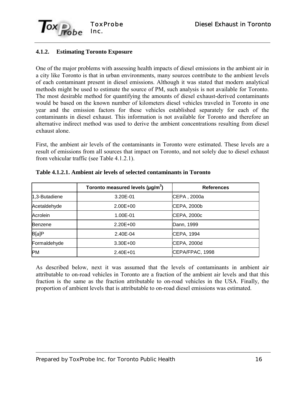

### **4.1.2. Estimating Toronto Exposure**

One of the major problems with assessing health impacts of diesel emissions in the ambient air in a city like Toronto is that in urban environments, many sources contribute to the ambient levels of each contaminant present in diesel emissions. Although it was stated that modern analytical methods might be used to estimate the source of PM, such analysis is not available for Toronto. The most desirable method for quantifying the amounts of diesel exhaust-derived contaminants would be based on the known number of kilometers diesel vehicles traveled in Toronto in one year and the emission factors for these vehicles established separately for each of the contaminants in diesel exhaust. This information is not available for Toronto and therefore an alternative indirect method was used to derive the ambient concentrations resulting from diesel exhaust alone.

First, the ambient air levels of the contaminants in Toronto were estimated. These levels are a result of emissions from all sources that impact on Toronto, and not solely due to diesel exhaust from vehicular traffic (see Table 4.1.2.1).

|               | Toronto measured levels ( $\mu$ g/m <sup>3</sup> ) | <b>References</b> |
|---------------|----------------------------------------------------|-------------------|
| 1,3-Butadiene | 3.20E-01                                           | CEPA, 2000a       |
| Acetaldehyde  | $2.00E + 00$                                       | CEPA, 2000b       |
| Acrolein      | 1.00E-01                                           | CEPA, 2000c       |
| Benzene       | $2.20E + 00$                                       | Dann, 1999        |
| B[a]P         | 2.40E-04                                           | CEPA, 1994        |
| Formaldehyde  | $3.30E + 00$                                       | CEPA, 2000d       |
| <b>PM</b>     | $2.40E + 01$                                       | CEPA/FPAC, 1998   |

#### **Table 4.1.2.1. Ambient air levels of selected contaminants in Toronto**

As described below, next it was assumed that the levels of contaminants in ambient air attributable to on-road vehicles in Toronto are a fraction of the ambient air levels and that this fraction is the same as the fraction attributable to on-road vehicles in the USA. Finally, the proportion of ambient levels that is attributable to on-road diesel emissions was estimated.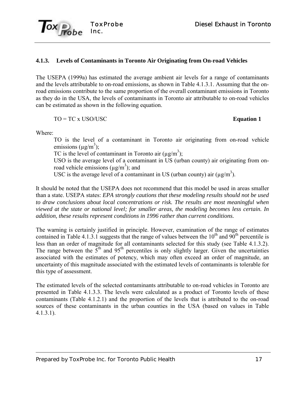

#### **4.1.3. Levels of Contaminants in Toronto Air Originating from On-road Vehicles**

The USEPA (1999a) has estimated the average ambient air levels for a range of contaminants and the levels attributable to on-road emissions, as shown in Table 4.1.3.1. Assuming that the onroad emissions contribute to the same proportion of the overall contaminant emissions in Toronto as they do in the USA, the levels of contaminants in Toronto air attributable to on-road vehicles can be estimated as shown in the following equation.

$$
TO = TC \times USO/USC
$$

#### **Equation 1**

Where:

TO is the level of a contaminant in Toronto air originating from on-road vehicle emissions ( $\mu$ g/m<sup>3</sup>);

TC is the level of contaminant in Toronto air  $(\mu g/m^3)$ ;

USO is the average level of a contaminant in US (urban county) air originating from onroad vehicle emissions ( $\mu$ g/m<sup>3</sup>); and

USC is the average level of a contaminant in US (urban county) air ( $\mu$ g/m<sup>3</sup>).

It should be noted that the USEPA does not recommend that this model be used in areas smaller than a state. USEPA states: *EPA strongly cautions that these modeling results should not be used to draw conclusions about local concentrations or risk. The results are most meaningful when viewed at the state or national level; for smaller areas, the modeling becomes less certain. In addition, these results represent conditions in 1996 rather than current conditions.*

The warning is certainly justified in principle. However, examination of the range of estimates contained in Table 4.1.3.1 suggests that the range of values between the  $10^{th}$  and  $90^{th}$  percentile is less than an order of magnitude for all contaminants selected for this study (see Table 4.1.3.2). The range between the  $5<sup>th</sup>$  and  $95<sup>th</sup>$  percentiles is only slightly larger. Given the uncertainties associated with the estimates of potency, which may often exceed an order of magnitude, an uncertainty of this magnitude associated with the estimated levels of contaminants is tolerable for this type of assessment.

The estimated levels of the selected contaminants attributable to on-road vehicles in Toronto are presented in Table 4.1.3.3. The levels were calculated as a product of Toronto levels of these contaminants (Table 4.1.2.1) and the proportion of the levels that is attributed to the on-road sources of these contaminants in the urban counties in the USA (based on values in Table 4.1.3.1).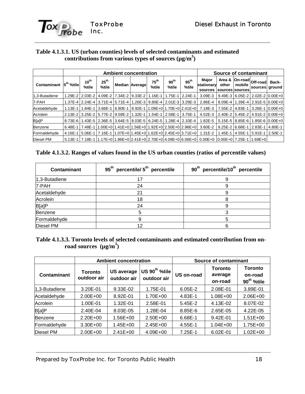

#### **Table 4.1.3.1. US (urban counties) levels of selected contaminants and estimated contributions from various types of sources (µg/m3 )**

|                                   |           | <b>Ambient concentration</b> |                           |  |                                                                     |                           |                           |                           | Source of contaminant                                                                                   |                                    |        |                                           |       |
|-----------------------------------|-----------|------------------------------|---------------------------|--|---------------------------------------------------------------------|---------------------------|---------------------------|---------------------------|---------------------------------------------------------------------------------------------------------|------------------------------------|--------|-------------------------------------------|-------|
| Contaminant 5 <sup>th</sup> %tile |           | $10^{th}$<br>%tile           | $25^{\text{th}}$<br>%tile |  | Median Average                                                      | $75^{\text{th}}$<br>%tile | $90^{\text{th}}$<br>%tile | 95 <sup>th</sup><br>%tile | Major<br>stationary<br>sources                                                                          | Area &<br>other<br>sources sources | mobile | ⊿  On-road   Off-road →<br>sources ground | Back- |
| 1.3-Butadiene                     |           |                              |                           |  | 1.29E-2 2.03E-2 4.09E-2 7.34E-2 9.33E-2 1.16E-1 1.75E-1 2.24E-1     |                           |                           |                           | $3.09E - 3$                                                                                             |                                    |        | 9.49E-3 6.05E-2 2.02E-2 0.00E+0           |       |
| 7-PAH                             |           |                              |                           |  | 1.37E-4 2.24E-4 3.71E-4 5.71E-4 1.26E-3 9.80E-4 2.01E-3 3.29E-3     |                           |                           |                           | 2.86E-4                                                                                                 |                                    |        | 8.09E-4   1.39E-4   2.91E-5   0.00E+0     |       |
| Acetaldehvde                      | $1.13E-1$ |                              |                           |  | $1.84E-1$ 3.66E-1 6.80E-1 8.92E-1 1.09E+0 1.70E+0 2.41E+0           |                           |                           |                           | 7.18E-3                                                                                                 |                                    |        | 17.55E-214.83E-113.26E-110.00E+01         |       |
| Acrolein                          |           |                              |                           |  | 2.13E-2 3.25E-2 5.77E-2 9.59E-2 1.32E-1 1.54E-1 2.58E-1 3.75E-1     |                           |                           |                           | 4.52E-3 2.40E-2 5.45E-2 4.91E-2 0.00E+0                                                                 |                                    |        |                                           |       |
| B[a]P                             | 8.73E-6   |                              |                           |  | 1.43E-5   2.36E-5   3.64E-5   8.03E-5   6.24E-5   1.28E-4   2.10E-4 |                           |                           |                           | 1.82E-5 5.15E-5 8.85E-6 1.85E-6 0.00E+0                                                                 |                                    |        |                                           |       |
| Benzene                           | 6.48E-1 I |                              |                           |  |                                                                     |                           |                           |                           | 7.48E-1   1.00E+0   1.41E+0   1.56E+0   1.92E+0   2.50E+0   2.96E+0   3.60E-2                           |                                    |        | 9.25E-2 6.68E-1 2.83E-1 4.80E-1           |       |
| Formaldehvde                      | 4.16E-1   |                              |                           |  | 15.06E-117.16E-111.07E+011.45E+011.62E+012.45E+013.71E+01           |                           |                           |                           | 1.31E-2                                                                                                 |                                    |        | 1.45E-1 4.55E-1 5.91E-1 2.50E-1           |       |
| Diesel PM                         |           |                              |                           |  |                                                                     |                           |                           |                           | 5.13E-1 7.18E-1 1.17E+0 1.86E+0 2.41E+0 2.70E+0 4.09E+0 6.06E+0   0.00E+0   0.00E+0   7.25E-1   1.69E+0 |                                    |        |                                           |       |

|  | Table 4.1.3.2. Ranges of values found in the US urban counties (ratios of percentile values) |  |  |  |  |
|--|----------------------------------------------------------------------------------------------|--|--|--|--|
|--|----------------------------------------------------------------------------------------------|--|--|--|--|

| Contaminant   | 95 <sup>th</sup> percentile/ 5 <sup>th</sup> percentile | 90 <sup>th</sup> percentile/10 <sup>th</sup> percentile |
|---------------|---------------------------------------------------------|---------------------------------------------------------|
| 1,3-Butadiene | 17                                                      |                                                         |
| 7-PAH         | 24                                                      |                                                         |
| Acetaldehyde  | 21                                                      |                                                         |
| Acrolein      | 18                                                      |                                                         |
| B[a]P         | 24                                                      |                                                         |
| Benzene       |                                                         |                                                         |
| Formaldehyde  |                                                         |                                                         |
| Diesel PM     |                                                         |                                                         |

### **Table 4.1.3.3. Toronto levels of selected contaminants and estimated contribution from onroad sources (µg/m3 )**

|                |                               | <b>Ambient concentration</b>     |                                                        | <b>Source of contaminant</b> |                                      |                                                     |  |
|----------------|-------------------------------|----------------------------------|--------------------------------------------------------|------------------------------|--------------------------------------|-----------------------------------------------------|--|
| Contaminant    | <b>Toronto</b><br>outdoor air | <b>US average</b><br>outdoor air | $ \mathsf{US}~90^\mathsf{th}$ %tile $ $<br>outdoor air | US on-road                   | <b>Toronto</b><br>average<br>on-road | <b>Toronto</b><br>on-road<br>90 <sup>th</sup> %tile |  |
| 1,3-Butadiene  | 3.20E-01                      | 9.33E-02                         | 1.75E-01                                               | $6.05E-2$                    | 2.08E-01                             | 3.89E-01                                            |  |
| Acetaldehyde   | $2.00E + 00$                  | 8.92E-01                         | 1.70E+00                                               | 4.83E-1                      | 1.08E+00                             | 2.06E+00                                            |  |
| Acrolein       | 1.00E-01                      | 1.32E-01                         | 2.58E-01                                               | $5.45E-2$                    | 4.13E-02                             | 8.07E-02                                            |  |
| B[a]P          | 2.40E-04                      | 8.03E-05                         | 1.28E-04                                               | 8.85E-6                      | 2.65E-05                             | 4.22E-05                                            |  |
| <b>Benzene</b> | $2.20E + 00$                  | 1.56E+00                         | $2.50E + 00$                                           | 6.68E-1                      | 9.42E-01                             | $1.51E + 00$                                        |  |
| Formaldehyde   | $3.30E + 00$                  | 1.45E+00                         | $2.45E + 00$                                           | 4.55E-1                      | $1.04E + 00$                         | 1.75E+00                                            |  |
| Diesel PM      | $2.00E + 00$                  | $2.41E + 00$                     | $4.09E + 00$                                           | $7.25E-1$                    | $6.02E - 01$                         | $1.02E + 00$                                        |  |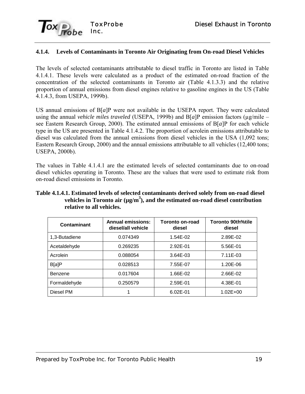

### **4.1.4. Levels of Contaminants in Toronto Air Originating from On-road Diesel Vehicles**

The levels of selected contaminants attributable to diesel traffic in Toronto are listed in Table 4.1.4.1. These levels were calculated as a product of the estimated on-road fraction of the concentration of the selected contaminants in Toronto air (Table 4.1.3.3) and the relative proportion of annual emissions from diesel engines relative to gasoline engines in the US (Table 4.1.4.3, from USEPA, 1999b).

US annual emissions of B[*a*]P were not available in the USEPA report. They were calculated using the annual *vehicle miles traveled* (USEPA, 1999b) and  $B[a]P$  emission factors ( $\mu$ g/mile – see Eastern Research Group, 2000). The estimated annual emissions of B[*a*]P for each vehicle type in the US are presented in Table 4.1.4.2. The proportion of acrolein emissions attributable to diesel was calculated from the annual emissions from diesel vehicles in the USA (1,092 tons; Eastern Research Group, 2000) and the annual emissions attributable to all vehicles (12,400 tons; USEPA, 2000b).

The values in Table 4.1.4.1 are the estimated levels of selected contaminants due to on-road diesel vehicles operating in Toronto. These are the values that were used to estimate risk from on-road diesel emissions in Toronto.

| Table 4.1.4.1. Estimated levels of selected contaminants derived solely from on-road diesel |
|---------------------------------------------------------------------------------------------|
| vehicles in Toronto air $(\mu g/m^3)$ , and the estimated on-road diesel contribution       |
| relative to all vehicles.                                                                   |

| Contaminant   | <b>Annual emissions:</b><br>diesel/all vehicle | Toronto on-road<br>diesel | Toronto 90th%tile<br>diesel |  |
|---------------|------------------------------------------------|---------------------------|-----------------------------|--|
| 1,3-Butadiene | 0.074349                                       | 1.54E-02                  | 2.89E-02                    |  |
| Acetaldehyde  | 0.269235                                       | 2.92E-01                  | 5.56E-01                    |  |
| Acrolein      | 0.088054                                       | 3.64E-03                  | 7.11E-03                    |  |
| B[a]P         | 0.028513                                       | 7.55E-07                  | 1.20E-06                    |  |
| Benzene       | 0.017604                                       | 1.66E-02                  | 2.66E-02                    |  |
| Formaldehyde  | 0.250579                                       | 2.59E-01                  | 4.38E-01                    |  |
| Diesel PM     |                                                | $6.02E - 01$              | $1.02E + 00$                |  |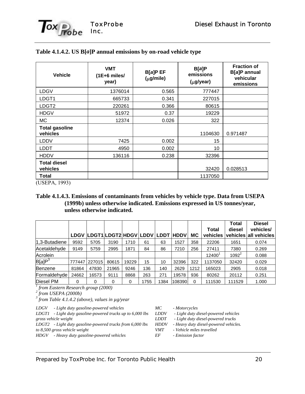

| <b>Vehicle</b>                    | <b>VMT</b><br>$(1E+6$ miles/<br>year) | B[a]P EF<br>$(\mu g/mile)$ | B[a]P<br>emissions<br>$(\mu g$ /year) | <b>Fraction of</b><br>B[a]P annual<br>vehicular<br>emissions |
|-----------------------------------|---------------------------------------|----------------------------|---------------------------------------|--------------------------------------------------------------|
| LDGV                              | 1376014                               | 0.565                      | 777447                                |                                                              |
| LDGT1                             | 665733                                | 0.341                      | 227015                                |                                                              |
| LDGT <sub>2</sub>                 | 220261                                | 0.366                      | 80615                                 |                                                              |
| <b>HDGV</b>                       | 51972                                 | 0.37                       | 19229                                 |                                                              |
| МC                                | 12374                                 | 0.026                      | 322                                   |                                                              |
| <b>Total gasoline</b><br>vehicles |                                       |                            | 1104630                               | 0.971487                                                     |
| <b>LDDV</b>                       | 7425                                  | 0.002                      | 15                                    |                                                              |
| LDDT                              | 4950                                  | 0.002                      | 10                                    |                                                              |
| <b>HDDV</b>                       | 136116                                | 0.238                      | 32396                                 |                                                              |
| <b>Total diesel</b><br>vehicles   |                                       |                            | 32420                                 | 0.028513                                                     |
| Total                             |                                       |                            | 1137050                               |                                                              |

#### **Table 4.1.4.2. US B[***a***]P annual emissions by on-road vehicle type**

(USEPA, 1993)

#### **Table 4.1.4.3. Emissions of contaminants from vehicles by vehicle type. Data from USEPA (1999b) unless otherwise indicated. Emissions expressed in US tonnes/year, unless otherwise indicated.**

|                                    |             |                            |       |       |      |      |             |           |          | <b>Total</b> | <b>Diesel</b>         |
|------------------------------------|-------------|----------------------------|-------|-------|------|------|-------------|-----------|----------|--------------|-----------------------|
|                                    |             |                            |       |       |      |      |             |           | Total    | diesel       | vehicles/             |
|                                    | <b>LDGV</b> | LDGT1 LDGT2 HDGV LDDV LDDT |       |       |      |      | <b>HDDV</b> | <b>MC</b> | vehicles |              | vehicles all vehicles |
| 1,3-Butadiene                      | 9592        | 5705                       | 3190  | 1710  | 61   | 63   | 1527        | 358       | 22206    | 1651         | 0.074                 |
| Acetaldehyde                       | 9149        | 5759                       | 2995  | 1871  | 84   | 86   | 7210        | 256       | 27411    | 7380         | 0.269                 |
| Acrolein                           |             |                            |       |       |      |      |             |           | 12400    | $1092^2$     | 0.088                 |
| B[a]P <sup>3</sup>                 | 777447      | 227015                     | 80615 | 19229 | 15   | 10   | 32396       | 322       | 1137050  | 32420        | 0.029                 |
| Benzene                            | 81864       | 47830                      | 21965 | 9246  | 136  | 140  | 2629        | 1212      | 165023   | 2905         | 0.018                 |
| Formaldehyde                       | 24662       | 16573                      | 9111  | 8868  | 263  | 271  | 19578       | 936       | 80262    | 20112        | 0.251                 |
| Diesel PM                          | 0           | 0                          | 0     | 0     | 1755 | 1384 | 108390      | 0         | 111530   | 111529       | 1.000                 |
| from Eastern Research group (2000) |             |                            |       |       |      |      |             |           |          |              |                       |

<sup>2</sup> from USEPA (2000b)

 *from Table 4.1.4.2 (above), values in µg/year*

*LDGV - Light duty gasoline-powered vehicles*

*LDGT1 - Light duty gasoline-powered trucks up to 6,000 lbs gross vehicle weight*

*LDGT2 - Light duty gasoline-powered trucks from 6,000 lbs*

*to 8,500 gross vehicle weight*

*HDGV - Heavy duty gasoline-powered vehicles*

*MC - Motorcycles*

*LDDV - Light duty diesel-powered vehicles*

*LDDT - Light duty diesel-powered trucks*

*HDDV - Heavy duty diesel-powered vehicles. VMT - Vehicle miles travelled*

*EF - Emission factor*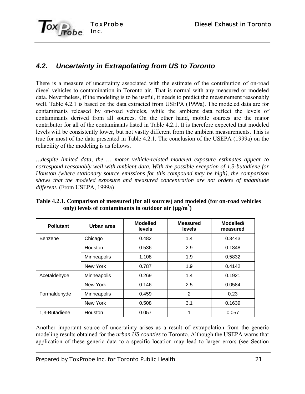

# *4.2. Uncertainty in Extrapolating from US to Toronto*

There is a measure of uncertainty associated with the estimate of the contribution of on-road diesel vehicles to contamination in Toronto air. That is normal with any measured or modeled data. Nevertheless, if the modeling is to be useful, it needs to predict the measurement reasonably well. Table 4.2.1 is based on the data extracted from USEPA (1999a). The modeled data are for contaminants released by on-road vehicles, while the ambient data reflect the levels of contaminants derived from all sources. On the other hand, mobile sources are the major contributor for all of the contaminants listed in Table 4.2.1. It is therefore expected that modeled levels will be consistently lower, but not vastly different from the ambient measurements. This is true for most of the data presented in Table 4.2.1. The conclusion of the USEPA (1999a) on the reliability of the modeling is as follows.

*…despite limited data, the … motor vehicle-related modeled exposure estimates appear to correspond reasonably well with ambient data. With the possible exception of 1,3-butadiene for Houston (where stationary source emissions for this compound may be high), the comparison shows that the modeled exposure and measured concentration are not orders of magnitude different.* (From USEPA, 1999a)

| <b>Pollutant</b> | Urban area         | <b>Modelled</b><br><b>levels</b> | <b>Measured</b><br><b>levels</b> | Modelled/<br>measured |
|------------------|--------------------|----------------------------------|----------------------------------|-----------------------|
| Benzene          | Chicago            | 0.482                            | 1.4                              | 0.3443                |
|                  | Houston            | 0.536                            | 2.9                              | 0.1848                |
|                  | <b>Minneapolis</b> | 1.108                            | 1.9                              | 0.5832                |
|                  | New York           | 0.787                            | 1.9                              | 0.4142                |
| Acetaldehyde     | <b>Minneapolis</b> | 0.269                            | 1.4                              | 0.1921                |
|                  | New York           | 0.146                            | 2.5                              | 0.0584                |
| Formaldehyde     | Minneapolis        | 0.459                            | 2                                | 0.23                  |
|                  | New York           | 0.508                            | 3.1                              | 0.1639                |
| 1,3-Butadiene    | Houston            | 0.057                            | 1                                | 0.057                 |

**Table 4.2.1. Comparison of measured (for all sources) and modeled (for on-road vehicles** only) levels of contaminants in outdoor air (µg/m<sup>3</sup>)

Another important source of uncertainty arises as a result of extrapolation from the generic modeling results obtained for the *urban US counties* to Toronto. Although the USEPA warns that application of these generic data to a specific location may lead to larger errors (see Section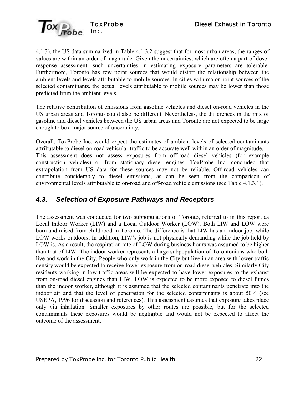

4.1.3), the US data summarized in Table 4.1.3.2 suggest that for most urban areas, the ranges of values are within an order of magnitude. Given the uncertainties, which are often a part of doseresponse assessment, such uncertainties in estimating exposure parameters are tolerable. Furthermore, Toronto has few point sources that would distort the relationship between the ambient levels and levels attributable to mobile sources. In cities with major point sources of the selected contaminants, the actual levels attributable to mobile sources may be lower than those predicted from the ambient levels.

The relative contribution of emissions from gasoline vehicles and diesel on-road vehicles in the US urban areas and Toronto could also be different. Nevertheless, the differences in the mix of gasoline and diesel vehicles between the US urban areas and Toronto are not expected to be large enough to be a major source of uncertainty.

Overall, ToxProbe Inc. would expect the estimates of ambient levels of selected contaminants attributable to diesel on-road vehicular traffic to be accurate well within an order of magnitude. This assessment does not assess exposures from off-road diesel vehicles (for example construction vehicles) or from stationary diesel engines. ToxProbe Inc. concluded that extrapolation from US data for these sources may not be reliable. Off-road vehicles can contribute considerably to diesel emissions, as can be seen from the comparison of environmental levels attributable to on-road and off-road vehicle emissions (see Table 4.1.3.1).

# *4.3. Selection of Exposure Pathways and Receptors*

The assessment was conducted for two subpopulations of Toronto, referred to in this report as Local Indoor Worker (LIW) and a Local Outdoor Worker (LOW). Both LIW and LOW were born and raised from childhood in Toronto. The difference is that LIW has an indoor job, while LOW works outdoors. In addition, LIW's job is not physically demanding while the job held by LOW is. As a result, the respiration rate of LOW during business hours was assumed to be higher than that of LIW. The indoor worker represents a large subpopulation of Torontonians who both live and work in the City. People who only work in the City but live in an area with lower traffic density would be expected to receive lower exposure from on-road diesel vehicles. Similarly City residents working in low-traffic areas will be expected to have lower exposures to the exhaust from on-road diesel engines than LIW. LOW is expected to be more exposed to diesel fumes than the indoor worker, although it is assumed that the selected contaminants penetrate into the indoor air and that the level of penetration for the selected contaminants is about 50% (see USEPA, 1996 for discussion and references). This assessment assumes that exposure takes place only via inhalation. Smaller exposures by other routes are possible, but for the selected contaminants these exposures would be negligible and would not be expected to affect the outcome of the assessment.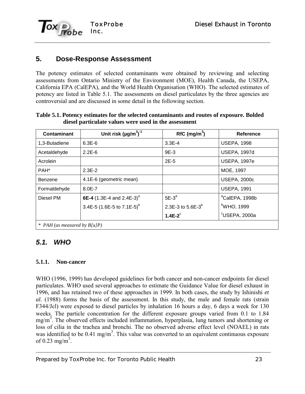

### **5. Dose-Response Assessment**

The potency estimates of selected contaminants were obtained by reviewing and selecting assessments from Ontario Ministry of the Environment (MOE), Health Canada, the USEPA, California EPA (CalEPA), and the World Health Organisation (WHO). The selected estimates of potency are listed in Table 5.1. The assessments on diesel particulates by the three agencies are controversial and are discussed in some detail in the following section.

| Contaminant      | Unit risk $(\mu g/m^3)^{-1}$            | $RfC$ (mg/m <sup>3</sup> ) | Reference                  |
|------------------|-----------------------------------------|----------------------------|----------------------------|
| 1,3-Butadiene    | $6.3E-6$                                | $3.3E-4$                   | <b>USEPA, 1998</b>         |
| Acetaldehyde     | $2.2E-6$                                | $9E-3$                     | <b>USEPA, 1997d</b>        |
| Acrolein         |                                         | $2E-5$                     | <b>USEPA, 1997e</b>        |
| PAH <sup>*</sup> | $2.3E-2$                                |                            | MOE, 1997                  |
| Benzene          | 4.1E-6 (geometric mean)                 |                            | <b>USEPA, 2000c</b>        |
| Formaldehyde     | $8.0E - 7$                              |                            | <b>USEPA, 1991</b>         |
| Diesel PM        | 6E-4 $(1.3E-4$ and 2.4E-3) <sup>a</sup> | $5E-3^a$                   | <sup>a</sup> CalEPA, 1998b |
|                  | 3.4E-5 (1.6E-5 to 7.1E-5) <sup>b</sup>  | 2.3E-3 to $5.6E-3^{b}$     | $\mathrm{^{b}WHO}$ , 1999  |
|                  |                                         | $1.4E-2$ <sup>c</sup>      | <sup>c</sup> USEPA, 2000a  |

#### **Table 5.1. Potency estimates for the selected contaminants and routes of exposure. Bolded diesel particulate values were used in the assessment**

### *5.1. WHO*

### **5.1.1. Non-cancer**

WHO (1996, 1999) has developed guidelines for both cancer and non-cancer endpoints for diesel particulates. WHO used several approaches to estimate the Guidance Value for diesel exhaust in 1996, and has retained two of these approaches in 1999. In both cases, the study by Ishinishi *et al.* (1988) forms the basis of the assessment. In this study, the male and female rats (strain F344/Jcl) were exposed to diesel particles by inhalation 16 hours a day, 6 days a week for 130 weeks. The particle concentration for the different exposure groups varied from 0.1 to 1.84 mg/m<sup>3</sup>. The observed effects included inflammation, hyperplasia, lung tumors and shortening or loss of cilia in the trachea and bronchi. The no observed adverse effect level (NOAEL) in rats was identified to be 0.41 mg/m<sup>3</sup>. This value was converted to an equivalent continuous exposure of 0.23 mg/m<sup>3</sup>.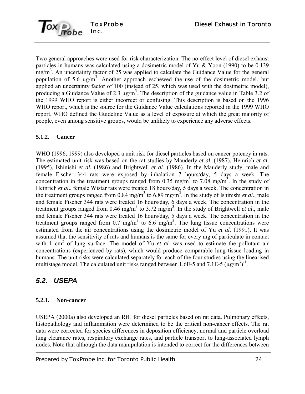

Two general approaches were used for risk characterization. The no-effect level of diesel exhaust particles in humans was calculated using a dosimetric model of Yu & Yoon (1990) to be 0.139  $\text{mg/m}^3$ . An uncertainty factor of 25 was applied to calculate the Guidance Value for the general population of 5.6  $\mu$ g/m<sup>3</sup>. Another approach eschewed the use of the dosimetric model, but applied an uncertainty factor of 100 (instead of 25, which was used with the dosimetric model), producing a Guidance Value of 2.3  $\mu$ g/m<sup>3</sup>. The description of the guidance value in Table 3.2 of the 1999 WHO report is either incorrect or confusing. This description is based on the 1996 WHO report, which is the source for the Guidance Value calculations reported in the 1999 WHO report. WHO defined the Guideline Value as a level of exposure at which the great majority of people, even among sensitive groups, would be unlikely to experience any adverse effects.

### **5.1.2. Cancer**

WHO (1996, 1999) also developed a unit risk for diesel particles based on cancer potency in rats. The estimated unit risk was based on the rat studies by Mauderly *et al*. (1987), Heinrich *et al*. (1995), Ishinishi *et al.* (1986) and Brightwell *et al*. (1986). In the Mauderly study, male and female Fischer 344 rats were exposed by inhalation 7 hours/day, 5 days a week. The concentration in the treatment groups ranged from 0.35 mg/m<sup>3</sup> to 7.08 mg/m<sup>3</sup>. In the study of Heinrich *et al.*, female Wistar rats were treated 18 hours/day, 5 days a week. The concentration in the treatment groups ranged from 0.84 mg/m<sup>3</sup> to 6.89 mg/m<sup>3</sup>. In the study of Ishinishi *et al.*, male and female Fischer 344 rats were treated 16 hours/day, 6 days a week. The concentration in the treatment groups ranged from  $0.46$  mg/m<sup>3</sup> to 3.72 mg/m<sup>3</sup>. In the study of Brightwell *et al.*, male and female Fischer 344 rats were treated 16 hours/day, 5 days a week. The concentration in the treatment groups ranged from 0.7 mg/m<sup>3</sup> to 6.6 mg/m<sup>3</sup>. The lung tissue concentrations were estimated from the air concentrations using the dosimetric model of Yu *et al.* (1991). It was assumed that the sensitivity of rats and humans is the same for every mg of particulate in contact with 1 cm<sup>2</sup> of lung surface. The model of Yu *et al.* was used to estimate the pollutant air concentrations (experienced by rats), which would produce comparable lung tissue loading in humans. The unit risks were calculated separately for each of the four studies using the linearised multistage model. The calculated unit risks ranged between 1.6E-5 and 7.1E-5 ( $\mu$ g/m<sup>3</sup>)<sup>-1</sup>.

# *5.2. USEPA*

### **5.2.1. Non-cancer**

USEPA (2000a) also developed an RfC for diesel particles based on rat data. Pulmonary effects, histopathology and inflammation were determined to be the critical non-cancer effects. The rat data were corrected for species differences in deposition efficiency, normal and particle overload lung clearance rates, respiratory exchange rates, and particle transport to lung-associated lymph nodes. Note that although the data manipulation is intended to correct for the differences between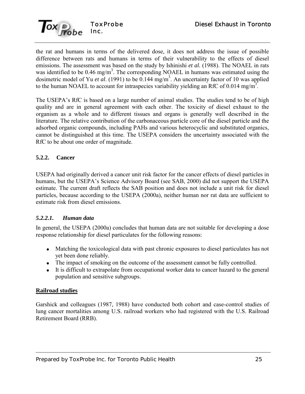

the rat and humans in terms of the delivered dose, it does not address the issue of possible difference between rats and humans in terms of their vulnerability to the effects of diesel emissions. The assessment was based on the study by Ishinishi *et al.* (1988). The NOAEL in rats was identified to be 0.46 mg/m<sup>3</sup>. The corresponding NOAEL in humans was estimated using the dosimetric model of Yu *et al.* (1991) to be 0.144 mg/m<sup>3</sup>. An uncertainty factor of 10 was applied to the human NOAEL to account for intraspecies variability yielding an RfC of 0.014 mg/m<sup>3</sup>.

The USEPA's RfC is based on a large number of animal studies. The studies tend to be of high quality and are in general agreement with each other. The toxicity of diesel exhaust to the organism as a whole and to different tissues and organs is generally well described in the literature. The relative contribution of the carbonaceous particle core of the diesel particle and the adsorbed organic compounds, including PAHs and various heterocyclic and substituted organics, cannot be distinguished at this time. The USEPA considers the uncertainty associated with the RfC to be about one order of magnitude.

### **5.2.2. Cancer**

USEPA had originally derived a cancer unit risk factor for the cancer effects of diesel particles in humans, but the USEPA's Science Advisory Board (see SAB, 2000) did not support the USEPA estimate. The current draft reflects the SAB position and does not include a unit risk for diesel particles, because according to the USEPA (2000a), neither human nor rat data are sufficient to estimate risk from diesel emissions.

### *5.2.2.1. Human data*

In general, the USEPA (2000a) concludes that human data are not suitable for developing a dose response relationship for diesel particulates for the following reasons:

- Matching the toxicological data with past chronic exposures to diesel particulates has not yet been done reliably.
- The impact of smoking on the outcome of the assessment cannot be fully controlled.
- It is difficult to extrapolate from occupational worker data to cancer hazard to the general population and sensitive subgroups.

#### **Railroad studies**

Garshick and colleagues (1987, 1988) have conducted both cohort and case-control studies of lung cancer mortalities among U.S. railroad workers who had registered with the U.S. Railroad Retirement Board (RRB).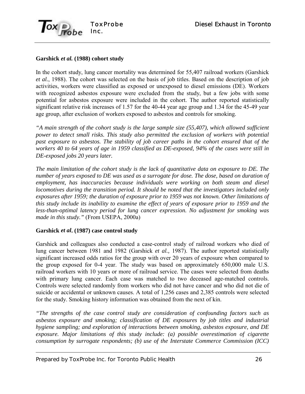

### **Garshick** *et al.* **(1988) cohort study**

In the cohort study, lung cancer mortality was determined for 55,407 railroad workers (Garshick *et al.*, 1988). The cohort was selected on the basis of job titles. Based on the description of job activities, workers were classified as exposed or unexposed to diesel emissions (DE). Workers with recognized asbestos exposure were excluded from the study, but a few jobs with some potential for asbestos exposure were included in the cohort. The author reported statistically significant relative risk increases of 1.57 for the 40-44 year age group and 1.34 for the 45-49 year age group, after exclusion of workers exposed to asbestos and controls for smoking.

*"A main strength of the cohort study is the large sample size (55,407), which allowed sufficient power to detect small risks. This study also permitted the exclusion of workers with potential past exposure to asbestos. The stability of job career paths in the cohort ensured that of the workers 40 to 64 years of age in 1959 classified as DE-exposed, 94% of the cases were still in DE-exposed jobs 20 years later.*

*The main limitation of the cohort study is the lack of quantitative data on exposure to DE. The number of years exposed to DE was used as a surrogate for dose. The dose, based on duration of employment, has inaccuracies because individuals were working on both steam and diesel locomotives during the transition period. It should be noted that the investigators included only exposures after 1959; the duration of exposure prior to 1959 was not known. Other limitations of this study include its inability to examine the effect of years of exposure prior to 1959 and the less-than-optimal latency period for lung cancer expression. No adjustment for smoking was made in this study."* (From USEPA, 2000a)

### **Garshick** *et al***. (1987) case control study**

Garshick and colleagues also conducted a case-control study of railroad workers who died of lung cancer between 1981 and 1982 (Garshick *et al.,* 1987). The author reported statistically significant increased odds ratios for the group with over 20 years of exposure when compared to the group exposed for 0-4 year. The study was based on approximately 650,000 male U.S. railroad workers with 10 years or more of railroad service. The cases were selected from deaths with primary lung cancer. Each case was matched to two deceased age-matched controls. Controls were selected randomly from workers who did not have cancer and who did not die of suicide or accidental or unknown causes. A total of 1,256 cases and 2,385 controls were selected for the study. Smoking history information was obtained from the next of kin.

*"The strengths of the case control study are consideration of confounding factors such as asbestos exposure and smoking; classification of DE exposures by job titles and industrial hygiene sampling; and exploration of interactions between smoking, asbestos exposure, and DE exposure. Major limitations of this study include: (a) possible overestimation of cigarette consumption by surrogate respondents; (b) use of the Interstate Commerce Commission (ICC)*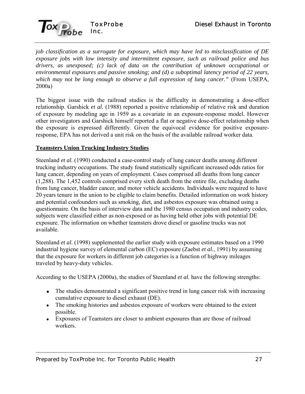

*job classification as a surrogate for exposure, which may have led to misclassification of DE exposure jobs with low intensity and intermittent exposure, such as railroad police and bus drivers, as unexposed; (c) lack of data on the contribution of unknown occupational or environmental exposures and passive smoking; and (d) a suboptimal latency period of 22 years, which may not be long enough to observe a full expression of lung cancer."* (From USEPA, 2000a)

The biggest issue with the railroad studies is the difficulty in demonstrating a dose-effect relationship. Garshick *et al.* (1988) reported a positive relationship of relative risk and duration of exposure by modeling age in 1959 as a covariate in an exposure-response model. However other investigators and Garshick himself reported a flat or negative dose-effect relationship when the exposure is expressed differently. Given the equivocal evidence for positive exposureresponse, EPA has not derived a unit risk on the basis of the available railroad worker data.

### **Teamsters Union Trucking Industry Studies**

Steenland *et al.* (1990) conducted a case-control study of lung cancer deaths among different trucking industry occupations. The study found statistically significant increased odds ratios for lung cancer, depending on years of employment. Cases comprised all deaths from lung cancer (1,288). The 1,452 controls comprised every sixth death from the entire file, excluding deaths from lung cancer, bladder cancer, and motor vehicle accidents. Individuals were required to have 20 years tenure in the union to be eligible to claim benefits. Detailed information on work history and potential confounders such as smoking, diet, and asbestos exposure was obtained using a questionnaire. On the basis of interview data and the 1980 census occupation and industry codes, subjects were classified either as non-exposed or as having held other jobs with potential DE exposure. The information on whether teamsters drove diesel or gasoline trucks was not available.

Steenland *et al.* (1998) supplemented the earlier study with exposure estimates based on a 1990 industrial hygiene survey of elemental carbon (EC) exposure (Zaebst *et al.*, 1991) by assuming that the exposure for workers in different job categories is a function of highway mileages traveled by heavy-duty vehicles.

According to the USEPA (2000a), the studies of Steenland *et al.* have the following strengths:

- The studies demonstrated a significant positive trend in lung cancer risk with increasing cumulative exposure to diesel exhaust (DE).
- The smoking histories and asbestos exposure of workers were obtained to the extent possible.
- Exposures of Teamsters are closer to ambient exposures than are those of railroad workers.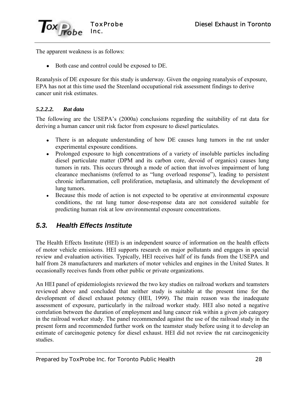

The apparent weakness is as follows:

Both case and control could be exposed to DE.

Reanalysis of DE exposure for this study is underway. Given the ongoing reanalysis of exposure, EPA has not at this time used the Steenland occupational risk assessment findings to derive cancer unit risk estimates.

### *5.2.2.2. Rat data*

The following are the USEPA's (2000a) conclusions regarding the suitability of rat data for deriving a human cancer unit risk factor from exposure to diesel particulates.

- There is an adequate understanding of how DE causes lung tumors in the rat under experimental exposure conditions.
- Prolonged exposure to high concentrations of a variety of insoluble particles including diesel particulate matter (DPM and its carbon core, devoid of organics) causes lung tumors in rats. This occurs through a mode of action that involves impairment of lung clearance mechanisms (referred to as "lung overload response"), leading to persistent chronic inflammation, cell proliferation, metaplasia, and ultimately the development of lung tumors.
- Because this mode of action is not expected to be operative at environmental exposure conditions, the rat lung tumor dose-response data are not considered suitable for predicting human risk at low environmental exposure concentrations.

### *5.3. Health Effects Institute*

The Health Effects Institute (HEI) is an independent source of information on the health effects of motor vehicle emissions. HEI supports research on major pollutants and engages in special review and evaluation activities. Typically, HEI receives half of its funds from the USEPA and half from 28 manufacturers and marketers of motor vehicles and engines in the United States. It occasionally receives funds from other public or private organizations.

An HEI panel of epidemiologists reviewed the two key studies on railroad workers and teamsters reviewed above and concluded that neither study is suitable at the present time for the development of diesel exhaust potency (HEI, 1999). The main reason was the inadequate assessment of exposure, particularly in the railroad worker study. HEI also noted a negative correlation between the duration of employment and lung cancer risk within a given job category in the railroad worker study. The panel recommended against the use of the railroad study in the present form and recommended further work on the teamster study before using it to develop an estimate of carcinogenic potency for diesel exhaust. HEI did not review the rat carcinogenicity studies.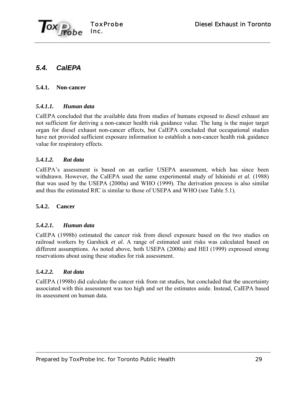

# *5.4. CalEPA*

### **5.4.1. Non-cancer**

### *5.4.1.1. Human data*

CalEPA concluded that the available data from studies of humans exposed to diesel exhaust are not sufficient for deriving a non-cancer health risk guidance value. The lung is the major target organ for diesel exhaust non-cancer effects, but CalEPA concluded that occupational studies have not provided sufficient exposure information to establish a non-cancer health risk guidance value for respiratory effects.

### *5.4.1.2. Rat data*

CalEPAís assessment is based on an earlier USEPA assessment, which has since been withdrawn. However, the CalEPA used the same experimental study of Ishinishi *et al.* (1988) that was used by the USEPA (2000a) and WHO (1999). The derivation process is also similar and thus the estimated RfC is similar to those of USEPA and WHO (see Table 5.1).

### **5.4.2. Cancer**

### *5.4.2.1. Human data*

CalEPA (1998b) estimated the cancer risk from diesel exposure based on the two studies on railroad workers by Garshick *et al*. A range of estimated unit risks was calculated based on different assumptions. As noted above, both USEPA (2000a) and HEI (1999) expressed strong reservations about using these studies for risk assessment.

### *5.4.2.2. Rat data*

CalEPA (1998b) did calculate the cancer risk from rat studies, but concluded that the uncertainty associated with this assessment was too high and set the estimates aside. Instead, CalEPA based its assessment on human data.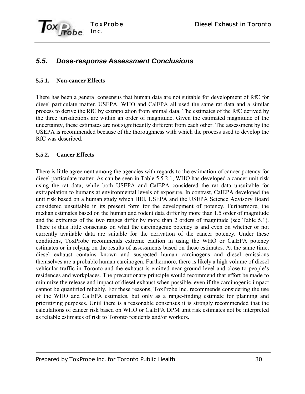

# *5.5. Dose-response Assessment Conclusions*

#### **5.5.1. Non-cancer Effects**

There has been a general consensus that human data are not suitable for development of RfC for diesel particulate matter. USEPA, WHO and CalEPA all used the same rat data and a similar process to derive the RfC by extrapolation from animal data. The estimates of the RfC derived by the three jurisdictions are within an order of magnitude. Given the estimated magnitude of the uncertainty, these estimates are not significantly different from each other. The assessment by the USEPA is recommended because of the thoroughness with which the process used to develop the RfC was described.

#### **5.5.2. Cancer Effects**

There is little agreement among the agencies with regards to the estimation of cancer potency for diesel particulate matter. As can be seen in Table 5.5.2.1, WHO has developed a cancer unit risk using the rat data, while both USEPA and CalEPA considered the rat data unsuitable for extrapolation to humans at environmental levels of exposure. In contrast, CalEPA developed the unit risk based on a human study which HEI, USEPA and the USEPA Science Advisory Board considered unsuitable in its present form for the development of potency. Furthermore, the median estimates based on the human and rodent data differ by more than 1.5 order of magnitude and the extremes of the two ranges differ by more than 2 orders of magnitude (see Table 5.1). There is thus little consensus on what the carcinogenic potency is and even on whether or not currently available data are suitable for the derivation of the cancer potency. Under these conditions, ToxProbe recommends extreme caution in using the WHO or CalEPA potency estimates or in relying on the results of assessments based on these estimates. At the same time, diesel exhaust contains known and suspected human carcinogens and diesel emissions themselves are a probable human carcinogen. Furthermore, there is likely a high volume of diesel vehicular traffic in Toronto and the exhaust is emitted near ground level and close to people's residences and workplaces. The precautionary principle would recommend that effort be made to minimize the release and impact of diesel exhaust when possible, even if the carcinogenic impact cannot be quantified reliably. For these reasons, ToxProbe Inc. recommends considering the use of the WHO and CalEPA estimates, but only as a range-finding estimate for planning and prioritizing purposes. Until there is a reasonable consensus it is strongly recommended that the calculations of cancer risk based on WHO or CalEPA DPM unit risk estimates not be interpreted as reliable estimates of risk to Toronto residents and/or workers.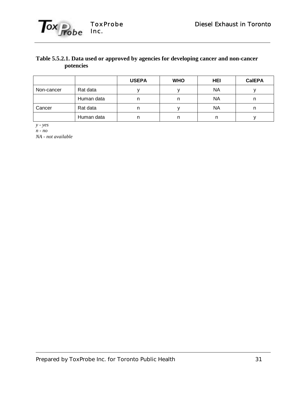

### **Table 5.5.2.1. Data used or approved by agencies for developing cancer and non-cancer potencies**

|            |            | <b>USEPA</b> | <b>WHO</b> | <b>HEI</b> | <b>CalEPA</b> |
|------------|------------|--------------|------------|------------|---------------|
| Non-cancer | Rat data   |              |            | <b>NA</b>  |               |
|            | Human data | n            | n          | ΝA         |               |
| Cancer     | Rat data   |              |            | ΝA         |               |
|            | Human data | n            | n          |            |               |

*y - yes*

*n - no*

*NA - not available*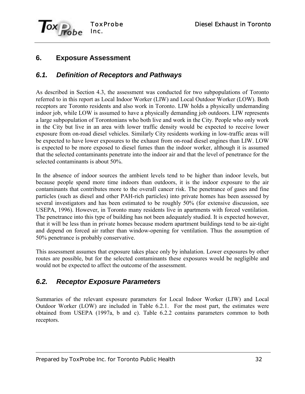

# **6. Exposure Assessment**

# *6.1. Definition of Receptors and Pathways*

As described in Section 4.3, the assessment was conducted for two subpopulations of Toronto referred to in this report as Local Indoor Worker (LIW) and Local Outdoor Worker (LOW). Both receptors are Toronto residents and also work in Toronto. LIW holds a physically undemanding indoor job, while LOW is assumed to have a physically demanding job outdoors. LIW represents a large subpopulation of Torontonians who both live and work in the City. People who only work in the City but live in an area with lower traffic density would be expected to receive lower exposure from on-road diesel vehicles. Similarly City residents working in low-traffic areas will be expected to have lower exposures to the exhaust from on-road diesel engines than LIW. LOW is expected to be more exposed to diesel fumes than the indoor worker, although it is assumed that the selected contaminants penetrate into the indoor air and that the level of penetrance for the selected contaminants is about 50%.

In the absence of indoor sources the ambient levels tend to be higher than indoor levels, but because people spend more time indoors than outdoors, it is the indoor exposure to the air contaminants that contributes more to the overall cancer risk. The penetrance of gases and fine particles (such as diesel and other PAH-rich particles) into private homes has been assessed by several investigators and has been estimated to be roughly 50% (for extensive discussion, see USEPA, 1996). However, in Toronto many residents live in apartments with forced ventilation. The penetrance into this type of building has not been adequately studied. It is expected however, that it will be less than in private homes because modern apartment buildings tend to be air-tight and depend on forced air rather than window-opening for ventilation. Thus the assumption of 50% penetrance is probably conservative.

This assessment assumes that exposure takes place only by inhalation. Lower exposures by other routes are possible, but for the selected contaminants these exposures would be negligible and would not be expected to affect the outcome of the assessment.

### *6.2. Receptor Exposure Parameters*

Summaries of the relevant exposure parameters for Local Indoor Worker (LIW) and Local Outdoor Worker (LOW) are included in Table 6.2.1. For the most part, the estimates were obtained from USEPA (1997a, b and c). Table 6.2.2 contains parameters common to both receptors.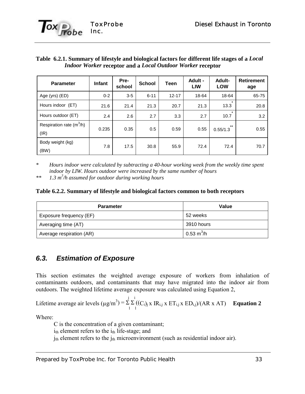

#### **Table 6.2.1. Summary of lifestyle and biological factors for different life stages of a** *Local Indoor Worker* **receptor and a** *Local Outdoor Worker* **receptor**

| <b>Parameter</b>                   | <b>Infant</b> | Pre-<br>school | <b>School</b> | Teen      | Adult -<br><b>LIW</b> | Adult-<br><b>LOW</b> | <b>Retirement</b><br>age |
|------------------------------------|---------------|----------------|---------------|-----------|-----------------------|----------------------|--------------------------|
| Age (yrs) (ED)                     | $0 - 2$       | $3-5$          | $6 - 11$      | $12 - 17$ | 18-64                 | 18-64                | 65-75                    |
| Hours indoor (ET)                  | 21.6          | 21.4           | 21.3          | 20.7      | 21.3                  | $\star$<br>13.3      | 20.8                     |
| Hours outdoor (ET)                 | 2.4           | 2.6            | 2.7           | 3.3       | 2.7                   | $\star$<br>10.7      | 3.2                      |
| Respiration rate $(m^3/h)$<br>(IR) | 0.235         | 0.35           | 0.5           | 0.59      | 0.55                  | $***$<br>0.55/1.3    | 0.55                     |
| Body weight (kg)<br>(BW)           | 7.8           | 17.5           | 30.8          | 55.9      | 72.4                  | 72.4                 | 70.7                     |

*\* Hours indoor were calculated by subtracting a 40-hour working week from the weekly time spent indoor by LIW. Hours outdoor were increased by the same number of hours*

*\*\* 1.3 m3 /h assumed for outdoor during working hours*

#### **Table 6.2.2. Summary of lifestyle and biological factors common to both receptors**

| <b>Parameter</b>         | Value                       |
|--------------------------|-----------------------------|
| Exposure frequency (EF)  | 52 weeks                    |
| Averaging time (AT)      | 3910 hours                  |
| Average respiration (AR) | $0.53 \text{ m}^3/\text{h}$ |

### *6.3. Estimation of Exposure*

This section estimates the weighted average exposure of workers from inhalation of contaminants outdoors, and contaminants that may have migrated into the indoor air from outdoors. The weighted lifetime average exposure was calculated using Equation 2,

$$
\text{Lifetime average air levels } (\mu g/m^3) = \sum_{1}^{j} \sum_{1}^{i} ((C_i)_{j} \times \text{IR}_{i,j} \times \text{ET}_{i,j} \times \text{ED}_{i,j}) / (\text{AR} \times \text{AT}) \quad \text{Equation 2}
$$

Where:

C is the concentration of a given contaminant;

 $i_{th}$  element refers to the  $i_{th}$  life-stage; and

 $j<sub>th</sub>$  element refers to the  $j<sub>th</sub>$  microenvironment (such as residential indoor air).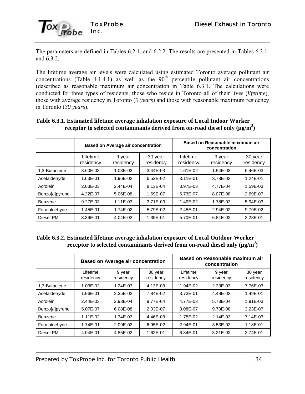

The parameters are defined in Tables 6.2.1. and 6.2.2. The results are presented in Tables 6.3.1. and 6.3.2.

The lifetime average air levels were calculated using estimated Toronto average pollutant air concentrations (Table 4.1.4.1) as well as the  $90<sup>th</sup>$  percentile pollutant air concentrations (described as reasonable maximum air concentration in Table 6.3.1. The calculations were conducted for three types of residents, those who reside in Toronto all of their lives (*lifetime*), those with average residency in Toronto (*9 years*) and those with reasonable maximum residency in Toronto (*30 years*).

|                |                       | <b>Based on Average air concentration</b> |                      | Based on Reasonable maximum air<br>concentration |                     |                      |
|----------------|-----------------------|-------------------------------------------|----------------------|--------------------------------------------------|---------------------|----------------------|
|                | Lifetime<br>residency | 9 year<br>residency                       | 30 year<br>residency | Lifetime<br>residency                            | 9 year<br>residency | 30 year<br>residency |
| 1,3-Butadiene  | 8.60E-03              | 1.03E-03                                  | $3.44E - 03$         | 1.61E-02                                         | 1.94E-03            | 6.46E-03             |
| Acetaldehyde   | 1.63E-01              | 1.96E-02                                  | $6.52E-02$           | 3.11E-01                                         | 3.73E-02            | 1.24E-01             |
| Acrolein       | 2.03E-03              | 2.44E-04                                  | 8.13E-04             | 3.97E-03                                         | 4.77E-04            | 1.59E-03             |
| Benzo[a]pyrene | 4.22E-07              | 5.06E-08                                  | 1.69E-07             | 6.73E-07                                         | 8.07E-08            | 2.69E-07             |
| Benzene        | 9.27E-03              | $1.11E-03$                                | 3.71E-03             | 1.49E-02                                         | 1.78E-03            | 5.94E-03             |
| Formaldehyde   | 1.45E-01              | 1.74E-02                                  | 5.79E-02             | 2.45E-01                                         | 2.94E-02            | 9.79E-02             |
| Diesel PM      | 3.36E-01              | 4.04E-02                                  | 1.35E-01             | 5.70E-01                                         | 6.84E-02            | 2.28E-01             |

### **Table 6.3.1. Estimated lifetime average inhalation exposure of Local Indoor Worker** receptor to selected contaminants derived from on-road diesel only (µg/m<sup>3</sup>)

**Table 6.3.2. Estimated lifetime average inhalation exposure of Local Outdoor Worker receptor to selected contaminants derived from on-road diesel only**  $(\mu g/m^3)$ 

|                |                       | <b>Based on Average air concentration</b> |                      | Based on Reasonable maximum air<br>concentration |                     |                      |
|----------------|-----------------------|-------------------------------------------|----------------------|--------------------------------------------------|---------------------|----------------------|
|                | Lifetime<br>residency | 9 year<br>residency                       | 30 year<br>residency | Lifetime<br>residency                            | 9 year<br>residency | 30 year<br>residency |
| 1.3-Butadiene  | 1.03E-02              | 1.24E-03                                  | 4.13E-03             | 1.94E-02                                         | 2.33E-03            | 7.76E-03             |
| Acetaldehyde   | 1.96E-01              | 2.35E-02                                  | 7.84E-02             | 3.73E-01                                         | 4.48E-02            | 1.49E-01             |
| Acrolein       | 2.44E-03              | 2.93E-04                                  | 9.77E-04             | 4.77E-03                                         | 5.73E-04            | 1.91E-03             |
| Benzo[a]pyrene | 5.07E-07              | 6.08E-08                                  | 2.03E-07             | 8.08E-07                                         | 9.70E-08            | 3.23E-07             |
| Benzene        | 1.11E-02              | 1.34E-03                                  | 4.46E-03             | 1.78E-02                                         | 2.14E-03            | 7.14E-03             |
| Formaldehyde   | 1.74E-01              | 2.09E-02                                  | 6.95E-02             | 2.94E-01                                         | 3.53E-02            | 1.18E-01             |
| Diesel PM      | 4.04E-01              | 4.85E-02                                  | 1.62E-01             | 6.84E-01                                         | 8.21E-02            | 2.74E-01             |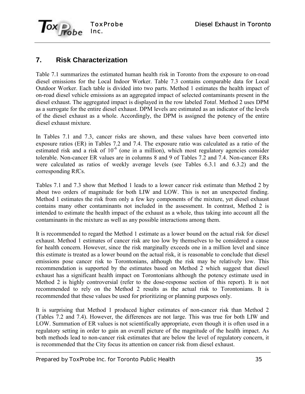

# **7. Risk Characterization**

Table 7.1 summarizes the estimated human health risk in Toronto from the exposure to on-road diesel emissions for the Local Indoor Worker. Table 7.3 contains comparable data for Local Outdoor Worker. Each table is divided into two parts. Method 1 estimates the health impact of on-road diesel vehicle emissions as an aggregated impact of selected contaminants present in the diesel exhaust. The aggregated impact is displayed in the row labeled *Total*. Method 2 uses DPM as a surrogate for the entire diesel exhaust. DPM levels are estimated as an indicator of the levels of the diesel exhaust as a whole. Accordingly, the DPM is assigned the potency of the entire diesel exhaust mixture.

In Tables 7.1 and 7.3, cancer risks are shown, and these values have been converted into exposure ratios (ER) in Tables 7.2 and 7.4. The exposure ratio was calculated as a ratio of the estimated risk and a risk of  $10^{-6}$  (one in a million), which most regulatory agencies consider tolerable. Non-cancer ER values are in columns 8 and 9 of Tables 7.2 and 7.4. Non-cancer ERs were calculated as ratios of weekly average levels (see Tables 6.3.1 and 6.3.2) and the corresponding RfCs.

Tables 7.1 and 7.3 show that Method 1 leads to a lower cancer risk estimate than Method 2 by about two orders of magnitude for both LIW and LOW. This is not an unexpected finding. Method 1 estimates the risk from only a few key components of the mixture, yet diesel exhaust contains many other contaminants not included in the assessment. In contrast, Method 2 is intended to estimate the health impact of the exhaust as a whole, thus taking into account all the contaminants in the mixture as well as any possible interactions among them.

It is recommended to regard the Method 1 estimate as a lower bound on the actual risk for diesel exhaust. Method 1 estimates of cancer risk are too low by themselves to be considered a cause for health concern. However, since the risk marginally exceeds one in a million level and since this estimate is treated as a lower bound on the actual risk, it is reasonable to conclude that diesel emissions pose cancer risk to Torontonians, although the risk may be relatively low. This recommendation is supported by the estimates based on Method 2 which suggest that diesel exhaust has a significant health impact on Torontonians although the potency estimate used in Method 2 is highly controversial (refer to the dose-response section of this report). It is not recommended to rely on the Method 2 results as the actual risk to Torontonians. It is recommended that these values be used for prioritizing or planning purposes only.

It is surprising that Method 1 produced higher estimates of non-cancer risk than Method 2 (Tables 7.2 and 7.4). However, the differences are not large. This was true for both LIW and LOW. Summation of ER values is not scientifically appropriate, even though it is often used in a regulatory setting in order to gain an overall picture of the magnitude of the health impact. As both methods lead to non-cancer risk estimates that are below the level of regulatory concern, it is recommended that the City focus its attention on cancer risk from diesel exhaust.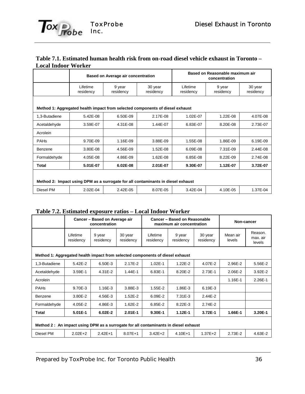#### **Table 7.1. Estimated human health risk from on-road diesel vehicle exhaust in Toronto – Local Indoor Worker**

|                                                                                  |                       | Based on Average air concentration |                      | Based on Reasonable maximum air<br>concentration |                     |                      |  |
|----------------------------------------------------------------------------------|-----------------------|------------------------------------|----------------------|--------------------------------------------------|---------------------|----------------------|--|
|                                                                                  | Lifetime<br>residency | 9 year<br>residency                | 30 year<br>residency | Lifetime<br>residency                            | 9 year<br>residency | 30 year<br>residency |  |
| Method 1: Aggregated health impact from selected components of diesel exhaust    |                       |                                    |                      |                                                  |                     |                      |  |
| 1,3-Butadiene                                                                    | $5.42E - 08$          | 6.50E-09                           | 2.17E-08             | 1.02E-07                                         | 1.22E-08            | 4.07E-08             |  |
| Acetaldehyde                                                                     | 3.59E-07              | 4.31E-08                           | 1.44E-07             | 6.83E-07                                         | 8.20E-08            | 2.73E-07             |  |
| Acrolein                                                                         |                       |                                    |                      |                                                  |                     |                      |  |
| <b>PAHs</b>                                                                      | 9.70E-09              | 1.16E-09                           | 3.88E-09             | 1.55E-08                                         | 1.86E-09            | 6.19E-09             |  |
| <b>Benzene</b>                                                                   | 3.80E-08              | 4.56E-09                           | 1.52E-08             | 6.09E-08                                         | 7.31E-09            | 2.44E-08             |  |
| Formaldehyde                                                                     | 4.05E-08              | 4.86E-09                           | 1.62E-08             | 6.85E-08                                         | 8.22E-09            | 2.74E-08             |  |
| Total                                                                            | 5.01E-07              | $6.02E-08$                         | 2.01E-07             | 9.30E-07                                         | 1.12E-07            | 3.72E-07             |  |
| Method 2: Impact using DPM as a surrogate for all contaminants in diesel exhaust |                       |                                    |                      |                                                  |                     |                      |  |
| Diesel PM                                                                        | 2.02E-04              | 2.42E-05                           | 8.07E-05             | 3.42E-04                                         | 4.10E-05            | 1.37E-04             |  |

#### **Table 7.2. Estimated exposure ratios – Local Indoor Worker**

| <b>EDMINICA CHPODILE I WEIGHT</b>                                             | Cancer - Based on Average air<br>concentration                                      |                     |                      | Cancer - Based on Reasonable<br>maximum air concentration |                     |                      | Non-cancer         |                               |
|-------------------------------------------------------------------------------|-------------------------------------------------------------------------------------|---------------------|----------------------|-----------------------------------------------------------|---------------------|----------------------|--------------------|-------------------------------|
|                                                                               | Lifetime<br>residency                                                               | 9 year<br>residency | 30 year<br>residency | Lifetime<br>residency                                     | 9 year<br>residency | 30 year<br>residency | Mean air<br>levels | Reason.<br>max. air<br>levels |
| Method 1: Aggregated health impact from selected components of diesel exhaust |                                                                                     |                     |                      |                                                           |                     |                      |                    |                               |
| 1,3-Butadiene                                                                 | $5.42E - 2$                                                                         | $6.50E-3$           | $2.17E-2$            | $1.02E - 1$                                               | $1.22E - 2$         | 4.07E-2              | 2.96E-2            | 5.56E-2                       |
| Acetaldehyde                                                                  | $3.59E-1$                                                                           | $4.31E - 2$         | 1.44E-1              | $6.83E-1$                                                 | 8.20E-2             | 2.73E-1              | $2.06E - 2$        | 3.92E-2                       |
| Acrolein                                                                      |                                                                                     |                     |                      |                                                           |                     |                      | 1.16E-1            | $2.26E - 1$                   |
| <b>PAHs</b>                                                                   | 9.70E-3                                                                             | 1.16E-3             | 3.88E-3              | $1.55E - 2$                                               | 1.86E-3             | $6.19E - 3$          |                    |                               |
| Benzene                                                                       | $3.80E - 2$                                                                         | 4.56E-3             | $1.52E - 2$          | $6.09E - 2$                                               | $7.31E-3$           | 2.44E-2              |                    |                               |
| Formaldehyde                                                                  | $4.05E - 2$                                                                         | 4.86E-3             | $1.62E - 2$          | $6.85E - 2$                                               | 8.22E-3             | 2.74E-2              |                    |                               |
| Total                                                                         | 5.01E-1                                                                             | $6.02E-2$           | $2.01E-1$            | 9.30E-1                                                   | $1.12E-1$           | 3.72E-1              | 1.66E-1            | 3.20E-1                       |
|                                                                               | Method 2: An impact using DPM as a surrogate for all contaminants in diesel exhaust |                     |                      |                                                           |                     |                      |                    |                               |
| Diesel PM                                                                     | $2.02E + 2$                                                                         | $2.42E+1$           | $8.07E+1$            | $3.42E + 2$                                               | $4.10E+1$           | $1.37E + 2$          | 2.73E-2            | 4.63E-2                       |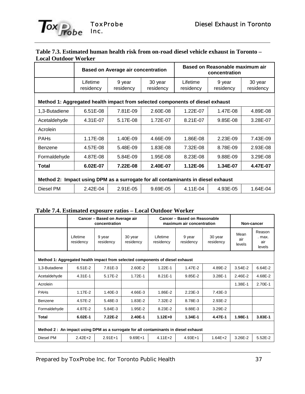#### **Table 7.3. Estimated human health risk from on-road diesel vehicle exhaust in Toronto – Local Outdoor Worker**

|                                                                                  |                       | <b>Based on Average air concentration</b> |                      | Based on Reasonable maximum air<br>concentration |                     |                      |  |
|----------------------------------------------------------------------------------|-----------------------|-------------------------------------------|----------------------|--------------------------------------------------|---------------------|----------------------|--|
|                                                                                  | Lifetime<br>residency | 9 year<br>residency                       | 30 year<br>residency | Lifetime<br>residency                            | 9 year<br>residency | 30 year<br>residency |  |
| Method 1: Aggregated health impact from selected components of diesel exhaust    |                       |                                           |                      |                                                  |                     |                      |  |
| 1,3-Butadiene                                                                    | $6.51E-08$            | 7.81E-09                                  | 2.60E-08             | 1.22E-07                                         | 1.47E-08            | 4.89E-08             |  |
| Acetaldehyde                                                                     | 4.31E-07              | 5.17E-08                                  | 1.72E-07             | 8.21E-07                                         | $9.85E-08$          | 3.28E-07             |  |
| Acrolein                                                                         |                       |                                           |                      |                                                  |                     |                      |  |
| <b>PAHs</b>                                                                      | 1.17E-08              | 1.40E-09                                  | 4.66E-09             | 1.86E-08                                         | $2.23E-09$          | 7.43E-09             |  |
| Benzene                                                                          | 4.57E-08              | 5.48E-09                                  | 1.83E-08             | 7.32E-08                                         | 8.78E-09            | 2.93E-08             |  |
| Formaldehyde                                                                     | 4.87E-08              | 5.84E-09                                  | 1.95E-08             | 8.23E-08                                         | 9.88E-09            | 3.29E-08             |  |
| Total                                                                            | 6.02E-07              | 7.22E-08                                  | 2.40E-07             | 1.12E-06                                         | 1.34E-07            | 4.47E-07             |  |
| Method 2: Impact using DPM as a surrogate for all contaminants in diesel exhaust |                       |                                           |                      |                                                  |                     |                      |  |
| Diesel PM                                                                        | 2.42E-04              | 2.91E-05                                  | 9.69E-05             | 4.11E-04                                         | 4.93E-05            | 1.64E-04             |  |

#### **Table 7.4. Estimated exposure ratios – Local Outdoor Worker**

|                                                                                     | Cancer - Based on Average air<br>concentration |                     |                      | Cancer - Based on Reasonable<br>maximum air concentration |                     |                      | Non-cancer            |                                   |
|-------------------------------------------------------------------------------------|------------------------------------------------|---------------------|----------------------|-----------------------------------------------------------|---------------------|----------------------|-----------------------|-----------------------------------|
|                                                                                     | Lifetime<br>residency                          | 9 year<br>residency | 30 year<br>residency | Lifetime<br>residency                                     | 9 year<br>residency | 30 year<br>residency | Mean<br>air<br>levels | Reason<br>. max.<br>air<br>levels |
| Method 1: Aggregated health impact from selected components of diesel exhaust       |                                                |                     |                      |                                                           |                     |                      |                       |                                   |
| 1,3-Butadiene                                                                       | $6.51E-2$                                      | 7.81E-3             | $2.60E - 2$          | $1.22E - 1$                                               | 1.47E-2             | 4.89E-2              | $3.54E - 2$           | $6.64E - 2$                       |
| Acetaldehyde                                                                        | 4.31E-1                                        | 5.17E-2             | $1.72E-1$            | $8.21E - 1$                                               | $9.85E - 2$         | 3.28E-1              | 2.46E-2               | 4.68E-2                           |
| Acrolein                                                                            |                                                |                     |                      |                                                           |                     |                      | 1.38E-1               | 2.70E-1                           |
| <b>PAHs</b>                                                                         | 1.17E-2                                        | 1.40E-3             | 4.66E-3              | 1.86E-2                                                   | $2.23E-3$           | $7.43E-3$            |                       |                                   |
| Benzene                                                                             | 4.57E-2                                        | 5.48E-3             | 1.83E-2              | 7.32E-2                                                   | 8.78E-3             | $2.93E-2$            |                       |                                   |
| Formaldehyde                                                                        | 4.87E-2                                        | $5.84E - 3$         | 1.95E-2              | 8.23E-2                                                   | 9.88E-3             | 3.29E-2              |                       |                                   |
| Total                                                                               | $6.02E-1$                                      | 7.22E-2             | 2.40E-1              | $1.12E + 0$                                               | 1.34E-1             | 4.47E-1              | 1.98E-1               | 3.83E-1                           |
| Method 2: An impact using DPM as a surrogate for all contaminants in diesel exhaust |                                                |                     |                      |                                                           |                     |                      |                       |                                   |
| Diesel PM                                                                           | $2.42E + 2$                                    | $2.91E+1$           | $9.69E + 1$          | $4.11E + 2$                                               | $4.93E+1$           | $1.64E + 2$          | 3.26E-2               | $5.52E - 2$                       |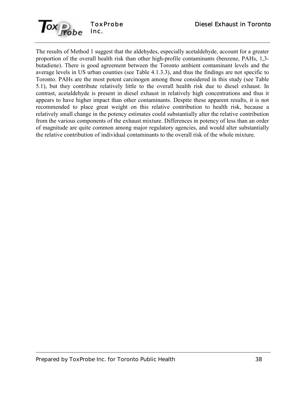

The results of Method 1 suggest that the aldehydes, especially acetaldehyde, account for a greater proportion of the overall health risk than other high-profile contaminants (benzene, PAHs, 1,3 butadiene). There is good agreement between the Toronto ambient contaminant levels and the average levels in US urban counties (see Table 4.1.3.3), and thus the findings are not specific to Toronto. PAHs are the most potent carcinogen among those considered in this study (see Table 5.1), but they contribute relatively little to the overall health risk due to diesel exhaust. In contrast, acetaldehyde is present in diesel exhaust in relatively high concentrations and thus it appears to have higher impact than other contaminants. Despite these apparent results, it is not recommended to place great weight on this relative contribution to health risk, because a relatively small change in the potency estimates could substantially alter the relative contribution from the various components of the exhaust mixture. Differences in potency of less than an order of magnitude are quite common among major regulatory agencies, and would alter substantially the relative contribution of individual contaminants to the overall risk of the whole mixture.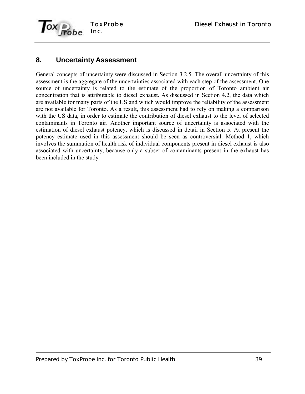

# **8. Uncertainty Assessment**

General concepts of uncertainty were discussed in Section 3.2.5. The overall uncertainty of this assessment is the aggregate of the uncertainties associated with each step of the assessment. One source of uncertainty is related to the estimate of the proportion of Toronto ambient air concentration that is attributable to diesel exhaust. As discussed in Section 4.2, the data which are available for many parts of the US and which would improve the reliability of the assessment are not available for Toronto. As a result, this assessment had to rely on making a comparison with the US data, in order to estimate the contribution of diesel exhaust to the level of selected contaminants in Toronto air. Another important source of uncertainty is associated with the estimation of diesel exhaust potency, which is discussed in detail in Section 5. At present the potency estimate used in this assessment should be seen as controversial. Method 1, which involves the summation of health risk of individual components present in diesel exhaust is also associated with uncertainty, because only a subset of contaminants present in the exhaust has been included in the study.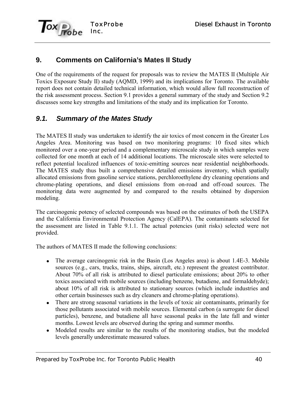

# **9. Comments on California's Mates II Study**

One of the requirements of the request for proposals was to review the MATES II (Multiple Air Toxics Exposure Study II) study (AQMD, 1999) and its implications for Toronto. The available report does not contain detailed technical information, which would allow full reconstruction of the risk assessment process. Section 9.1 provides a general summary of the study and Section 9.2 discusses some key strengths and limitations of the study and its implication for Toronto.

# *9.1. Summary of the Mates Study*

The MATES II study was undertaken to identify the air toxics of most concern in the Greater Los Angeles Area. Monitoring was based on two monitoring programs: 10 fixed sites which monitored over a one-year period and a complementary microscale study in which samples were collected for one month at each of 14 additional locations. The microscale sites were selected to reflect potential localized influences of toxic-emitting sources near residential neighborhoods. The MATES study thus built a comprehensive detailed emissions inventory, which spatially allocated emissions from gasoline service stations, perchloroethylene dry cleaning operations and chrome-plating operations, and diesel emissions from on-road and off-road sources. The monitoring data were augmented by and compared to the results obtained by dispersion modeling.

The carcinogenic potency of selected compounds was based on the estimates of both the USEPA and the California Environmental Protection Agency (CalEPA). The contaminants selected for the assessment are listed in Table 9.1.1. The actual potencies (unit risks) selected were not provided.

The authors of MATES II made the following conclusions:

- The average carcinogenic risk in the Basin (Los Angeles area) is about 1.4E-3. Mobile sources (e.g., cars, trucks, trains, ships, aircraft, etc.) represent the greatest contributor. About 70% of all risk is attributed to diesel particulate emissions; about 20% to other toxics associated with mobile sources (including benzene, butadiene, and formaldehyde); about 10% of all risk is attributed to stationary sources (which include industries and other certain businesses such as dry cleaners and chrome-plating operations).
- There are strong seasonal variations in the levels of toxic air contaminants, primarily for those pollutants associated with mobile sources. Elemental carbon (a surrogate for diesel particles), benzene, and butadiene all have seasonal peaks in the late fall and winter months. Lowest levels are observed during the spring and summer months.
- Modeled results are similar to the results of the monitoring studies, but the modeled levels generally underestimate measured values.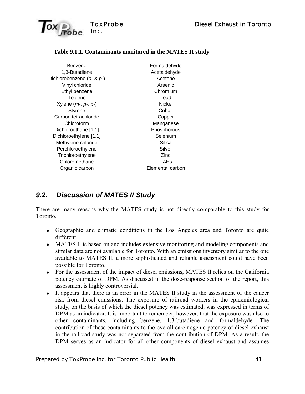

| Formaldehyde     |
|------------------|
| Acetaldehyde     |
| Acetone          |
| Arsenic          |
| Chromium         |
| Lead             |
| <b>Nickel</b>    |
| Cobalt           |
| Copper           |
| Manganese        |
| Phosphorous      |
| Selenium         |
| Silica           |
| Silver           |
| Zinc             |
| <b>PAHs</b>      |
| Elemental carbon |
|                  |

### **Table 9.1.1. Contaminants monitored in the MATES II study**

### *9.2. Discussion of MATES II Study*

There are many reasons why the MATES study is not directly comparable to this study for Toronto.

- Geographic and climatic conditions in the Los Angeles area and Toronto are quite different.
- MATES II is based on and includes extensive monitoring and modeling components and similar data are not available for Toronto. With an emissions inventory similar to the one available to MATES II, a more sophisticated and reliable assessment could have been possible for Toronto.
- For the assessment of the impact of diesel emissions, MATES II relies on the California potency estimate of DPM. As discussed in the dose-response section of the report, this assessment is highly controversial.
- It appears that there is an error in the MATES II study in the assessment of the cancer risk from diesel emissions. The exposure of railroad workers in the epidemiological study, on the basis of which the diesel potency was estimated, was expressed in terms of DPM as an indicator. It is important to remember, however, that the exposure was also to other contaminants, including benzene, 1,3-butadiene and formaldehyde. The contribution of these contaminants to the overall carcinogenic potency of diesel exhaust in the railroad study was not separated from the contribution of DPM. As a result, the DPM serves as an indicator for all other components of diesel exhaust and assumes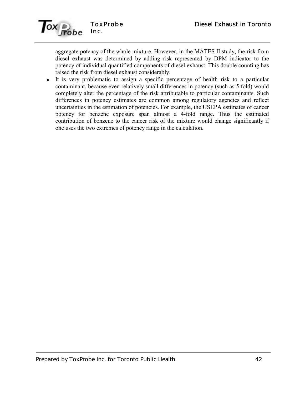

aggregate potency of the whole mixture. However, in the MATES II study, the risk from diesel exhaust was determined by adding risk represented by DPM indicator to the potency of individual quantified components of diesel exhaust. This double counting has raised the risk from diesel exhaust considerably.

 It is very problematic to assign a specific percentage of health risk to a particular contaminant, because even relatively small differences in potency (such as 5 fold) would completely alter the percentage of the risk attributable to particular contaminants. Such differences in potency estimates are common among regulatory agencies and reflect uncertainties in the estimation of potencies. For example, the USEPA estimates of cancer potency for benzene exposure span almost a 4-fold range. Thus the estimated contribution of benzene to the cancer risk of the mixture would change significantly if one uses the two extremes of potency range in the calculation.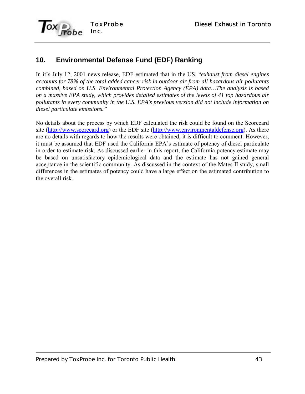

# **10. Environmental Defense Fund (EDF) Ranking**

In it's July 12, 2001 news release, EDF estimated that in the US, *<sup><i>exhaust from diesel engines*</sup> *accounts for 78% of the total added cancer risk in outdoor air from all hazardous air pollutants combined, based on U.S. Environmental Protection Agency (EPA) data…The analysis is based on a massive EPA study, which provides detailed estimates of the levels of 41 top hazardous air pollutants in every community in the U.S. EPA's previous version did not include information on diesel particulate emissions."*

No details about the process by which EDF calculated the risk could be found on the Scorecard site (http://www.scorecard.org) or the EDF site (http://www.environmentaldefense.org). As there are no details with regards to how the results were obtained, it is difficult to comment. However, it must be assumed that EDF used the California EPA's estimate of potency of diesel particulate in order to estimate risk. As discussed earlier in this report, the California potency estimate may be based on unsatisfactory epidemiological data and the estimate has not gained general acceptance in the scientific community. As discussed in the context of the Mates II study, small differences in the estimates of potency could have a large effect on the estimated contribution to the overall risk.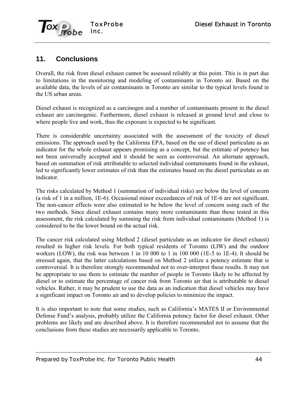

## **11. Conclusions**

Overall, the risk from diesel exhaust cannot be assessed reliably at this point. This is in part due to limitations in the monitoring and modeling of contaminants in Toronto air. Based on the available data, the levels of air contaminants in Toronto are similar to the typical levels found in the US urban areas.

Diesel exhaust is recognized as a carcinogen and a number of contaminants present in the diesel exhaust are carcinogenic. Furthermore, diesel exhaust is released at ground level and close to where people live and work, thus the exposure is expected to be significant.

There is considerable uncertainty associated with the assessment of the toxicity of diesel emissions. The approach used by the California EPA, based on the use of diesel particulate as an indicator for the whole exhaust appears promising as a concept, but the estimate of potency has not been universally accepted and it should be seen as controversial. An alternate approach, based on summation of risk attributable to selected individual contaminants found in the exhaust, led to significantly lower estimates of risk than the estimates based on the diesel particulate as an indicator.

The risks calculated by Method 1 (summation of individual risks) are below the level of concern (a risk of 1 in a million, 1E-6). Occasional minor exceedances of risk of 1E-6 are not significant. The non-cancer effects were also estimated to be below the level of concern using each of the two methods. Since diesel exhaust contains many more contaminants than those tested in this assessment, the risk calculated by summing the risk from individual contaminants (Method 1) is considered to be the lower bound on the actual risk.

The cancer risk calculated using Method 2 (diesel particulate as an indicator for diesel exhaust) resulted in higher risk levels. For both typical residents of Toronto (LIW) and the outdoor workers (LOW), the risk was between 1 in 10 000 to 1 in 100 000 (1E-5 to 1E-4). It should be stressed again, that the latter calculations based on Method 2 utilize a potency estimate that is controversial. It is therefore strongly recommended not to over-interpret these results. It may not be appropriate to use them to estimate the number of people in Toronto likely to be affected by diesel or to estimate the percentage of cancer risk from Toronto air that is attributable to diesel vehicles. Rather, it may be prudent to use the data as an indication that diesel vehicles may have a significant impact on Toronto air and to develop policies to minimize the impact.

It is also important to note that some studies, such as California's MATES II or Environmental Defense Fund's analysis, probably utilize the California potency factor for diesel exhaust. Other problems are likely and are described above. It is therefore recommended not to assume that the conclusions from these studies are necessarily applicable to Toronto.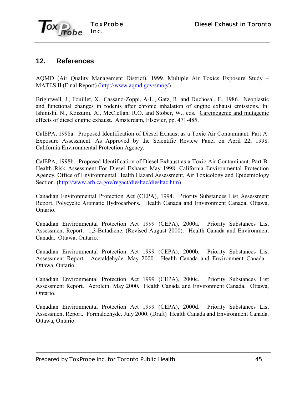

### **12. References**

AQMD (Air Quality Management District), 1999. Multiple Air Toxics Exposure Study – MATES II (Final Report) (http://www.aqmd.gov/smog/)

Brightwell, J., Fouillet, X., Cassano-Zoppi, A-L., Gatz, R. and Duchosal, F., 1986. Neoplastic and functional changes in rodents after chronic inhalation of engine exhaust emissions. In: Ishinishi, N., Koizumi, A., McClellan, R.O. and Stöber, W., eds. Carcinogenic and mutagenic effects of diesel engine exhaust. Amsterdam, Elsevier, pp. 471-485.

CalEPA, 1998a. Proposed Identification of Diesel Exhaust as a Toxic Air Contaminant. Part A: Exposure Assessment. As Approved by the Scientific Review Panel on April 22, 1998. California Environmental Protection Agency.

CalEPA, 1998b. Proposed Identification of Diesel Exhaust as a Toxic Air Contaminant. Part B: Health Risk Assessment For Diesel Exhaust May 1998. California Environmental Protection Agency, Office of Environmental Health Hazard Assessment, Air Toxicology and Epidemiology Section. (http://www.arb.ca.gov/regact/diesltac/diesltac.htm)

Canadian Environmental Protection Act (CEPA), 1994. Priority Substances List Assessment Report. Polycyclic Aromatic Hydrocarbons. Health Canada and Environment Canada, Ottawa, Ontario.

Canadian Environmental Protection Act 1999 (CEPA), 2000a. Priority Substances List Assessment Report. 1,3-Butadiene. (Revised August 2000). Health Canada and Environment Canada. Ottawa, Ontario.

Canadian Environmental Protection Act 1999 (CEPA), 2000b. Priority Substances List Assessment Report. Acetaldehyde. May 2000. Health Canada and Environment Canada. Ottawa, Ontario.

Canadian Environmental Protection Act 1999 (CEPA), 2000c. Priority Substances List Assessment Report. Acrolein. May 2000. Health Canada and Environment Canada. Ottawa, Ontario.

Canadian Environmental Protection Act 1999 (CEPA), 2000d. Priority Substances List Assessment Report. Formaldehyde. July 2000. (Draft) Health Canada and Environment Canada. Ottawa, Ontario.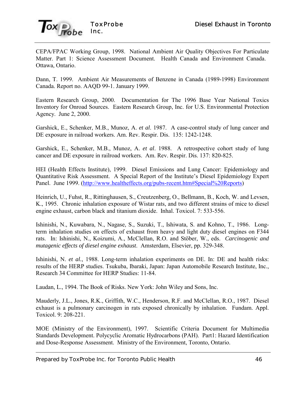

CEPA/FPAC Working Group, 1998. National Ambient Air Quality Objectives For Particulate Matter. Part 1: Science Assessment Document. Health Canada and Environment Canada. Ottawa, Ontario.

Dann, T. 1999. Ambient Air Measurements of Benzene in Canada (1989-1998) Environment Canada. Report no. AAQD 99-1. January 1999.

Eastern Research Group, 2000. Documentation for The 1996 Base Year National Toxics Inventory for Onroad Sources. Eastern Research Group, Inc. for U.S. Environmental Protection Agency. June 2, 2000.

Garshick, E., Schenker, M.B., Munoz, A. *et al*. 1987. A case-control study of lung cancer and DE exposure in railroad workers. Am. Rev. Respir. Dis. 135: 1242-1248.

Garshick, E., Schenker, M.B., Munoz, A. *et al*. 1988. A retrospective cohort study of lung cancer and DE exposure in railroad workers. Am. Rev. Respir. Dis. 137: 820-825.

HEI (Health Effects Institute), 1999. Diesel Emissions and Lung Cancer: Epidemiology and Quantitative Risk Assessment. A Special Report of the Institute's Diesel Epidemiology Expert Panel. June 1999. (http://www.healtheffects.org/pubs-recent.htm#Special%20Reports)

Heinrich, U., Fuhst, R., Rittinghausen, S., Creutzenberg, O., Bellmann, B., Koch, W. and Levsen, K., 1995. Chronic inhalation exposure of Wistar rats, and two different strains of mice to diesel engine exhaust, carbon black and titanium dioxide. Inhal. Toxicol. 7: 533-556.

Ishinishi, N., Kuwabara, N., Nagase, S., Suzuki, T., Ishiwata, S. and Kohno, T., 1986. Longterm inhalation studies on effects of exhaust from heavy and light duty diesel engines on F344 rats. In: Ishinishi, N., Koizumi, A., McClellan, R.O. and Stöber, W., eds. *Carcinogenic and mutagenic effects of diesel engine exhaust*. Amsterdam, Elsevier, pp. 329-348.

Ishinishi, N. *et al.*, 1988. Long-term inhalation experiments on DE. In: DE and health risks: results of the HERP studies. Tsukuba, Ibaraki, Japan: Japan Automobile Research Institute, Inc., Research 34 Committee for HERP Studies: 11-84.

Laudan, L., 1994. The Book of Risks. New York: John Wiley and Sons, Inc.

Mauderly, J.L., Jones, R.K., Griffith, W.C., Henderson, R.F. and McClellan, R.O., 1987. Diesel exhaust is a pulmonary carcinogen in rats exposed chronically by inhalation. Fundam. Appl. Toxicol. 9: 208-221.

MOE (Ministry of the Environment), 1997. Scientific Criteria Document for Multimedia Standards Development. Polycyclic Aromatic Hydrocarbons (PAH). Part1: Hazard Identification and Dose-Response Assessment. Ministry of the Environment, Toronto, Ontario.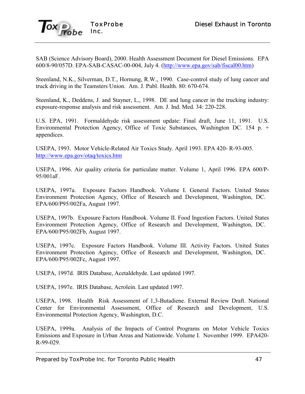

SAB (Science Advisory Board), 2000. Health Assessment Document for Diesel Emissions. EPA 600/8-90/057D. EPA-SAB-CASAC-00-004, July 4. (http://www.epa.gov/sab/fiscal00.htm)

Steenland, N.K., Silverman, D.T., Hornung, R.W., 1990. Case-control study of lung cancer and truck driving in the Teamsters Union. Am. J. Publ. Health. 80: 670-674.

Steenland, K., Deddens, J. and Stayner, L., 1998. DE and lung cancer in the trucking industry: exposure-response analysis and risk assessment. Am. J. Ind. Med. 34: 220-228.

U.S. EPA, 1991. Formaldehyde risk assessment update: Final draft, June 11, 1991. U.S. Environmental Protection Agency, Office of Toxic Substances, Washington DC. 154 p. + appendices.

USEPA, 1993. Motor Vehicle-Related Air Toxics Study. April 1993. EPA 420- R-93-005. http://www.epa.gov/otaq/toxics.htm

USEPA, 1996. Air quality criteria for particulate matter. Volume 1, April 1996. EPA 600/P-95/001aF.

USEPA, 1997a. Exposure Factors Handbook. Volume I. General Factors. United States Environment Protection Agency, Office of Research and Development, Washington, DC. EPA/600/P95/002Fa, August 1997.

USEPA, 1997b. Exposure Factors Handbook. Volume II. Food Ingestion Factors. United States Environment Protection Agency, Office of Research and Development, Washington, DC. EPA/600/P95/002Fb, August 1997.

USEPA, 1997c. Exposure Factors Handbook. Volume III. Activity Factors. United States Environment Protection Agency, Office of Research and Development, Washington, DC. EPA/600/P95/002Fc, August 1997.

USEPA, 1997d. IRIS Database, Acetaldehyde. Last updated 1997.

USEPA, 1997e. IRIS Database, Acrolein. Last updated 1997.

USEPA, 1998. Health Risk Assessment of 1,3-Butadiene. External Review Draft. National Center for Environmental Assessment, Office of Research and Development, U.S. Environmental Protection Agency, Washington, D.C.

USEPA, 1999a. Analysis of the Impacts of Control Programs on Motor Vehicle Toxics Emissions and Exposure in Urban Areas and Nationwide. Volume I. November 1999. EPA420- R-99-029.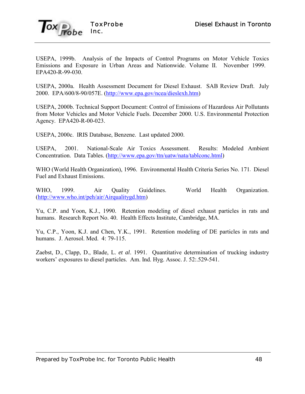

USEPA, 1999b. Analysis of the Impacts of Control Programs on Motor Vehicle Toxics Emissions and Exposure in Urban Areas and Nationwide. Volume II. November 1999. EPA420-R-99-030.

USEPA, 2000a. Health Assessment Document for Diesel Exhaust. SAB Review Draft. July 2000. EPA/600/8-90/057E. (http://www.epa.gov/ncea/dieslexh.htm)

USEPA, 2000b. Technical Support Document: Control of Emissions of Hazardous Air Pollutants from Motor Vehicles and Motor Vehicle Fuels. December 2000. U.S. Environmental Protection Agency. EPA420-R-00-023.

USEPA, 2000c. IRIS Database, Benzene. Last updated 2000.

USEPA, 2001. National-Scale Air Toxics Assessment. Results: Modeled Ambient Concentration. Data Tables. (http://www.epa.gov/ttn/uatw/nata/tablconc.html)

WHO (World Health Organization), 1996. Environmental Health Criteria Series No. 171. Diesel Fuel and Exhaust Emissions.

WHO, 1999. Air Quality Guidelines. World Health Organization. (http://www.who.int/peh/air/Airqualitygd.htm)

Yu, C.P. and Yoon, K.J., 1990. Retention modeling of diesel exhaust particles in rats and humans. Research Report No. 40. Health Effects Institute, Cambridge, MA.

Yu, C.P., Yoon, K.J. and Chen, Y.K., 1991. Retention modeling of DE particles in rats and humans. J. Aerosol. Med. 4: 79-115.

Zaebst, D., Clapp, D., Blade, L. *et al*. 1991. Quantitative determination of trucking industry workers' exposures to diesel particles. Am. Ind. Hyg. Assoc. J. 52:.529-541.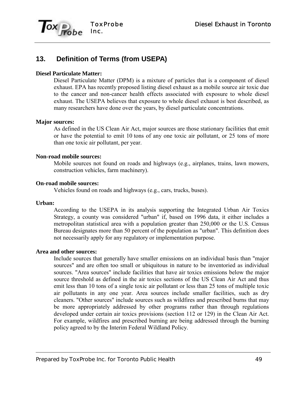

# **13. Definition of Terms (from USEPA)**

#### **Diesel Particulate Matter:**

Diesel Particulate Matter (DPM) is a mixture of particles that is a component of diesel exhaust. EPA has recently proposed listing diesel exhaust as a mobile source air toxic due to the cancer and non-cancer health effects associated with exposure to whole diesel exhaust. The USEPA believes that exposure to whole diesel exhaust is best described, as many researchers have done over the years, by diesel particulate concentrations.

#### **Major sources:**

As defined in the US Clean Air Act, major sources are those stationary facilities that emit or have the potential to emit 10 tons of any one toxic air pollutant, or 25 tons of more than one toxic air pollutant, per year.

#### **Non-road mobile sources:**

Mobile sources not found on roads and highways (e.g., airplanes, trains, lawn mowers, construction vehicles, farm machinery).

#### **On-road mobile sources:**

Vehicles found on roads and highways (e.g., cars, trucks, buses).

#### **Urban:**

According to the USEPA in its analysis supporting the Integrated Urban Air Toxics Strategy, a county was considered "urban" if, based on 1996 data, it either includes a metropolitan statistical area with a population greater than 250,000 or the U.S. Census Bureau designates more than 50 percent of the population as "urban". This definition does not necessarily apply for any regulatory or implementation purpose.

### **Area and other sources:**

Include sources that generally have smaller emissions on an individual basis than "major sources" and are often too small or ubiquitous in nature to be inventoried as individual sources. "Area sources" include facilities that have air toxics emissions below the major source threshold as defined in the air toxics sections of the US Clean Air Act and thus emit less than 10 tons of a single toxic air pollutant or less than 25 tons of multiple toxic air pollutants in any one year. Area sources include smaller facilities, such as dry cleaners. "Other sources" include sources such as wildfires and prescribed burns that may be more appropriately addressed by other programs rather than through regulations developed under certain air toxics provisions (section 112 or 129) in the Clean Air Act. For example, wildfires and prescribed burning are being addressed through the burning policy agreed to by the Interim Federal Wildland Policy.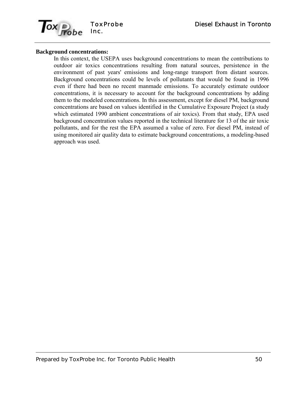

#### **Background concentrations:**

In this context, the USEPA uses background concentrations to mean the contributions to outdoor air toxics concentrations resulting from natural sources, persistence in the environment of past years' emissions and long-range transport from distant sources. Background concentrations could be levels of pollutants that would be found in 1996 even if there had been no recent manmade emissions. To accurately estimate outdoor concentrations, it is necessary to account for the background concentrations by adding them to the modeled concentrations. In this assessment, except for diesel PM, background concentrations are based on values identified in the Cumulative Exposure Project (a study which estimated 1990 ambient concentrations of air toxics). From that study, EPA used background concentration values reported in the technical literature for 13 of the air toxic pollutants, and for the rest the EPA assumed a value of zero. For diesel PM, instead of using monitored air quality data to estimate background concentrations, a modeling-based approach was used.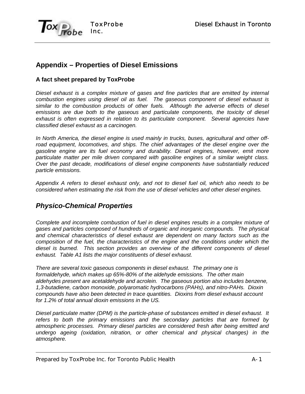

# **Appendix – Properties of Diesel Emissions**

### **A fact sheet prepared by ToxProbe**

*Diesel exhaust is a complex mixture of gases and fine particles that are emitted by internal combustion engines using diesel oil as fuel. The gaseous component of diesel exhaust is similar to the combustion products of other fuels. Although the adverse effects of diesel emissions are due both to the gaseous and particulate components, the toxicity of diesel exhaust is often expressed in relation to its particulate component. Several agencies have classified diesel exhaust as a carcinogen.*

*In North America, the diesel engine is used mainly in trucks, buses, agricultural and other offroad equipment, locomotives, and ships. The chief advantages of the diesel engine over the gasoline engine are its fuel economy and durability. Diesel engines, however, emit more particulate matter per mile driven compared with gasoline engines of a similar weight class. Over the past decade, modifications of diesel engine components have substantially reduced particle emissions.*

*Appendix A refers to diesel exhaust only, and not to diesel fuel oil, which also needs to be considered when estimating the risk from the use of diesel vehicles and other diesel engines.*

### *Physico-Chemical Properties*

*Complete and incomplete combustion of fuel in diesel engines results in a complex mixture of gases and particles composed of hundreds of organic and inorganic compounds. The physical and chemical characteristics of diesel exhaust are dependent on many factors such as the composition of the fuel, the characteristics of the engine and the conditions under which the diesel is burned. This section provides an overview of the different components of diesel exhaust. Table A1 lists the major constituents of diesel exhaust.*

*There are several toxic gaseous components in diesel exhaust. The primary one is formaldehyde, which makes up 65%-80% of the aldehyde emissions. The other main aldehydes present are acetaldehyde and acrolein. The gaseous portion also includes benzene, 1,3-butadiene, carbon monoxide, polyaromatic hydrocarbons (PAHs), and nitro-PAHs. Dioxin compounds have also been detected in trace quantities. Dioxins from diesel exhaust account for 1.2% of total annual dioxin emissions in the US.*

*Diesel particulate matter (DPM) is the particle-phase of substances emitted in diesel exhaust. It refers to both the primary emissions and the secondary particles that are formed by atmospheric processes. Primary diesel particles are considered fresh after being emitted and undergo ageing (oxidation, nitration, or other chemical and physical changes) in the atmosphere.*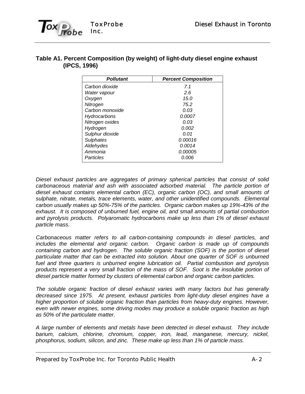

### **Table A1. Percent Composition (by weight) of light-duty diesel engine exhaust (IPCS, 1996)**

| <b>Pollutant</b> | <b>Percent Composition</b> |
|------------------|----------------------------|
| Carbon dioxide   | 71                         |
| Water vapour     | 2.6                        |
| Oxygen           | 15.0                       |
| Nitrogen         | 75.2                       |
| Carbon monoxide  | 0.03                       |
| Hydrocarbons     | 0.0007                     |
| Nitrogen oxides  | 0.03                       |
| Hydrogen         | 0.002                      |
| Sulphur dioxide  | 0.01                       |
| <b>Sulphates</b> | 0.00016                    |
| Aldehydes        | 0.0014                     |
| Ammonia          | <i>0.00005</i>             |
| Particles        | 0.006                      |

*Diesel exhaust particles are aggregates of primary spherical particles that consist of solid carbonaceous material and ash with associated adsorbed material. The particle portion of diesel exhaust contains elemental carbon (EC), organic carbon (OC), and small amounts of sulphate, nitrate, metals, trace elements, water, and other unidentified compounds. Elemental carbon usually makes up 50%-75% of the particles. Organic carbon makes up 19%-43% of the exhaust. It is composed of unburned fuel, engine oil, and small amounts of partial combustion and pyrolysis products. Polyaromatic hydrocarbons make up less than 1% of diesel exhaust particle mass.* 

*Carbonaceous matter refers to all carbon-containing compounds in diesel particles, and includes the elemental and organic carbon. Organic carbon is made up of compounds containing carbon and hydrogen. The soluble organic fraction (SOF) is the portion of diesel particulate matter that can be extracted into solution. About one quarter of SOF is unburned fuel and three quarters is unburned engine lubrication oil. Partial combustion and pyrolysis products represent a very small fraction of the mass of SOF. Soot is the insoluble portion of diesel particle matter formed by clusters of elemental carbon and organic carbon particles.*

*The soluble organic fraction of diesel exhaust varies with many factors but has generally decreased since 1975. At present, exhaust particles from light-duty diesel engines have a higher proportion of soluble organic fraction than particles from heavy-duty engines. However, even with newer engines, some driving modes may produce a soluble organic fraction as high as 50% of the particulate matter.*

*A large number of elements and metals have been detected in diesel exhaust. They include barium, calcium, chlorine, chromium, copper, iron, lead, manganese, mercury, nickel, phosphorus, sodium, silicon, and zinc. These make up less than 1% of particle mass.*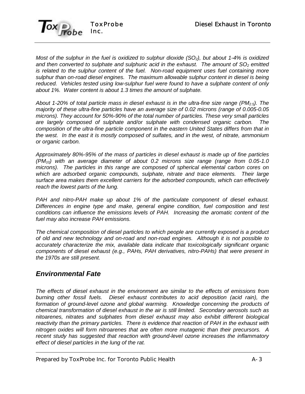

*Most of the sulphur in the fuel is oxidized to sulphur dioxide (SO<sub>2</sub>), but about 1-4% is oxidized* and then converted to sulphate and sulphuric acid in the exhaust. The amount of SO<sub>2</sub> emitted *is related to the sulphur content of the fuel. Non-road equipment uses fuel containing more sulphur than on-road diesel engines. The maximum allowable sulphur content in diesel is being reduced. Vehicles tested using low-sulphur fuel were found to have a sulphate content of only about 1%. Water content is about 1.3 times the amount of sulphate.*

*About 1-20% of total particle mass in diesel exhaust is in the ultra-fine size range (PM2.5). The majority of these ultra-fine particles have an average size of 0.02 microns (range of 0.005-0.05 microns). They account for 50%-90% of the total number of particles. These very small particles* are largely composed of sulphate and/or sulphate with condensed organic carbon. *composition of the ultra-fine particle component in the eastern United States differs from that in the west. In the east it is mostly composed of sulfates, and in the west, of nitrate, ammonium or organic carbon.*

*Approximately 80%-95% of the mass of particles in diesel exhaust is made up of fine particles (PM10) with an average diameter of about 0.2 microns size range (range from 0.05-1.0 microns). The particles in this range are composed of spherical elemental carbon cores on which are adsorbed organic compounds, sulphate, nitrate and trace elements. Their large surface area makes them excellent carriers for the adsorbed compounds, which can effectively reach the lowest parts of the lung.*

*PAH and nitro-PAH make up about 1% of the particulate component of diesel exhaust. Differences in engine type and make, general engine condition, fuel composition and test conditions can influence the emissions levels of PAH. Increasing the aromatic content of the fuel may also increase PAH emissions.*

*The chemical composition of diesel particles to which people are currently exposed is a product of old and new technology and on-road and non-road engines. Although it is not possible to accurately characterize the mix, available data indicate that toxicologically significant organic components of diesel exhaust (e.g., PAHs, PAH derivatives, nitro-PAHs) that were present in the 1970s are still present.* 

### *Environmental Fate*

*The effects of diesel exhaust in the environment are similar to the effects of emissions from burning other fossil fuels. Diesel exhaust contributes to acid deposition (acid rain), the formation of ground-level ozone and global warming. Knowledge concerning the products of chemical transformation of diesel exhaust in the air is still limited. Secondary aerosols such as nitoarenes, nitrates and sulphates from diesel exhaust may also exhibit different biological reactivity than the primary particles. There is evidence that reaction of PAH in the exhaust with nitrogen oxides will form nitroarenes that are often more mutagenic than their precursors. A recent study has suggested that reaction with ground-level ozone increases the inflammatory effect of diesel particles in the lung of the rat.*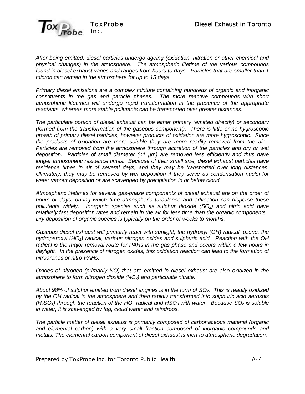

*After being emitted, diesel particles undergo ageing (oxidation, nitration or other chemical and physical changes) in the atmosphere. The atmospheric lifetime of the various compounds found in diesel exhaust varies and ranges from hours to days. Particles that are smaller than 1 micron can remain in the atmosphere for up to 15 days.* 

*Primary diesel emissions are a complex mixture containing hundreds of organic and inorganic constituents in the gas and particle phases. The more reactive compounds with short atmospheric lifetimes will undergo rapid transformation in the presence of the appropriate reactants, whereas more stable pollutants can be transported over greater distances.*

*The particulate portion of diesel exhaust can be either primary (emitted directly) or secondary (formed from the transformation of the gaseous component). There is little or no hygroscopic growth of primary diesel particles, however products of oxidation are more hygroscopic. Since the products of oxidation are more soluble they are more readily removed from the air. Particles are removed from the atmosphere through accretion of the particles and dry or wet deposition. Particles of small diameter (<1 µm) are removed less efficiently and thus have longer atmospheric residence times. Because of their small size, diesel exhaust particles have residence times in air of several days, and they may be transported over long distances. Ultimately, they may be removed by wet deposition if they serve as condensation nuclei for water vapour deposition or are scavenged by precipitation in or below cloud.*

*Atmospheric lifetimes for several gas-phase components of diesel exhaust are on the order of hours or days, during which time atmospheric turbulence and advection can disperse these pollutants widely. Inorganic species such as sulphur dioxide (SO2) and nitric acid have relatively fast deposition rates and remain in the air for less time than the organic components. Dry deposition of organic species is typically on the order of weeks to months.*

*Gaseous diesel exhaust will primarily react with sunlight, the hydroxyl (OH) radical, ozone, the hydroperoxyl (HO2) radical, various nitrogen oxides and sulphuric acid. Reaction with the OH radical is the major removal route for PAHs in the gas phase and occurs within a few hours in daylight. In the presence of nitrogen oxides, this oxidation reaction can lead to the formation of nitroarenes or nitro-PAHs.*

*Oxides of nitrogen (primarily NO) that are emitted in diesel exhaust are also oxidized in the atmosphere to form nitrogen dioxide (NO2) and particulate nitrate.*

*About 98% of sulphur emitted from diesel engines is in the form of SO2. This is readily oxidized by the OH radical in the atmosphere and then rapidly transformed into sulphuric acid aerosols (H2SO4) through the reaction of the HO2 radical and HSO3 with water. Because SO2 is soluble in water, it is scavenged by fog, cloud water and raindrops.*

*The particle matter of diesel exhaust is primarily composed of carbonaceous material (organic and elemental carbon) with a very small fraction composed of inorganic compounds and metals. The elemental carbon component of diesel exhaust is inert to atmospheric degradation.*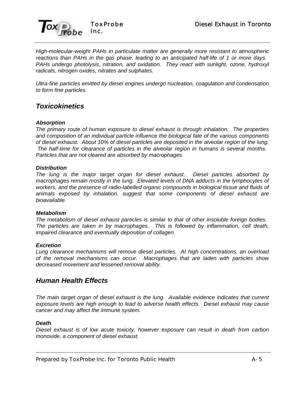

*High-molecular-weight PAHs in particulate matter are generally more resistant to atmospheric reactions than PAHs in the gas phase, leading to an anticipated half-life of 1 or more days. PAHs undergo photolysis, nitration, and oxidation. They react with sunlight, ozone, hydroxyl radicals, nitrogen oxides, nitrates and sulphates.* 

*Ultra-fine particles emitted by diesel engines undergo nucleation, coagulation and condensation to form fine particles.*

### *Toxicokinetics*

#### *Absorption*

*The primary route of human exposure to diesel exhaust is through inhalation. The properties and composition of an individual particle influence the biological fate of the various components of diesel exhaust. About 10% of diesel particles are deposited in the alveolar region of the lung. The half-time for clearance of particles in the alveolar region in humans is several months. Particles that are not cleared are absorbed by macrophages.*

#### *Distribution*

*The lung is the major target organ for diesel exhaust. Diesel particles absorbed by macrophages remain mostly in the lung. Elevated levels of DNA adducts in the lymphocytes of workers, and the presence of radio-labelled organic compounds in biological tissue and fluids of animals exposed by inhalation, suggest that some components of diesel exhaust are bioavailable.* 

#### *Metabolism*

*The metabolism of diesel exhaust particles is similar to that of other insoluble foreign bodies. The particles are taken in by macrophages. This is followed by inflammation, cell death, impaired clearance and eventually deposition of collagen.*

#### *Excretion*

*Lung clearance mechanisms will remove diesel particles. At high concentrations, an overload of the removal mechanisms can occur. Macrophages that are laden with particles show decreased movement and lessened removal ability.*

### *Human Health Effects*

*The main target organ of diesel exhaust is the lung. Available evidence indicates that current exposure levels are high enough to lead to adverse health effects. Diesel exhaust may cause cancer and may affect the immune system.* 

#### *Death*

*Diesel exhaust is of low acute toxicity, however exposure can result in death from carbon monoxide, a component of diesel exhaust.*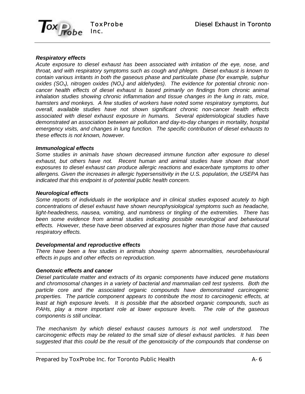

#### *Respiratory effects*

*Acute exposure to diesel exhaust has been associated with irritation of the eye, nose, and throat, and with respiratory symptoms such as cough and phlegm. Diesel exhaust is known to contain various irritants in both the gaseous phase and particulate phase (for example, sulphur oxides (SOx), nitrogen oxides (NOx) and aldehydes). The evidence for potential chronic noncancer health effects of diesel exhaust is based primarily on findings from chronic animal inhalation studies showing chronic inflammation and tissue changes in the lung in rats, mice, hamsters and monkeys. A few studies of workers have noted some respiratory symptoms, but overall, available studies have not shown significant chronic non-cancer health effects associated with diesel exhaust exposure in humans. Several epidemiological studies have demonstrated an association between air pollution and day-to-day changes in mortality, hospital emergency visits, and changes in lung function. The specific contribution of diesel exhausts to these effects is not known, however.*

#### *Immunological effects*

*Some studies in animals have shown decreased immune function after exposure to diesel exhaust, but others have not. Recent human and animal studies have shown that short exposures to diesel exhaust can produce allergic reactions and exacerbate symptoms to other allergens. Given the increases in allergic hypersensitivity in the U.S. population, the USEPA has indicated that this endpoint is of potential public health concern.*

#### *Neurological effects*

*Some reports of individuals in the workplace and in clinical studies exposed acutely to high concentrations of diesel exhaust have shown neurophysiological symptoms such as headache, light-headedness, nausea, vomiting, and numbness or tingling of the extremities. There has been some evidence from animal studies indicating possible neurological and behavioural effects. However, these have been observed at exposures higher than those have that caused respiratory effects.*

#### *Developmental and reproductive effects*

*There have been a few studies in animals showing sperm abnormalities, neurobehavioural effects in pups and other effects on reproduction.*

#### *Genotoxic effects and cancer*

*Diesel particulate matter and extracts of its organic components have induced gene mutations and chromosomal changes in a variety of bacterial and mammalian cell test systems. Both the particle core and the associated organic compounds have demonstrated carcinogenic properties. The particle component appears to contribute the most to carcinogenic effects, at least at high exposure levels. It is possible that the absorbed organic compounds, such as PAHs, play a more important role at lower exposure levels. The role of the gaseous components is still unclear.*

*The mechanism by which diesel exhaust causes tumours is not well understood. The carcinogenic effects may be related to the small size of diesel exhaust particles. It has been suggested that this could be the result of the genotoxicity of the compounds that condense on*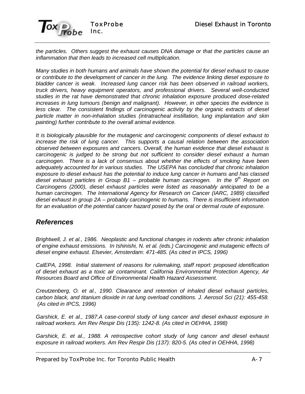

*the particles. Others suggest the exhaust causes DNA damage or that the particles cause an inflammation that then leads to increased cell multiplication.*

*Many studies in both humans and animals have shown the potential for diesel exhaust to cause or contribute to the development of cancer in the lung. The evidence linking diesel exposure to bladder cancer is weak. Increased lung cancer risk has been observed in railroad workers, truck drivers, heavy equipment operators, and professional drivers. Several well-conducted studies in the rat have demonstrated that chronic inhalation exposure produced dose-related increases in lung tumours (benign and malignant). However, in other species the evidence is less clear. The consistent findings of carcinogenic activity by the organic extracts of diesel particle matter in non-inhalation studies (intratracheal instillation, lung implantation and skin painting) further contribute to the overall animal evidence.*

*It is biologically plausible for the mutagenic and carcinogenic components of diesel exhaust to increase the risk of lung cancer. This supports a causal relation between the association observed between exposures and cancers. Overall, the human evidence that diesel exhaust is carcinogenic is judged to be strong but not sufficient to consider diesel exhaust a human carcinogen. There is a lack of consensus about whether the effects of smoking have been adequately accounted for in various studies. The USEPA has concluded that chronic inhalation exposure to diesel exhaust has the potential to induce lung cancer in humans and has classed diesel exhaust particles in Group B1 – probable human carcinogen. In the 9th Report on Carcinogens (2000), diesel exhaust particles were listed as reasonably anticipated to be a human carcinogen. The International Agency for Research on Cancer (IARC, 1989) classified diesel exhaust in group 2A – probably carcinogenic to humans. There is insufficient information for an evaluation of the potential cancer hazard posed by the oral or dermal route of exposure.*

### *References*

*Brightwell, J. et al., 1986. Neoplastic and functional changes in rodents after chronic inhalation of engine exhaust emissions. In Ishinishi, N. et al. (eds.) Carcinogenic and mutagenic effects of diesel engine exhaust. Elsevier, Amsterdam: 471-485. (As cited in IPCS, 1996)*

*CalEPA, 1998. Initial statement of reasons for rulemaking, staff report: proposed identification of diesel exhaust as a toxic air contaminant. California Environmental Protection Agency, Air Resources Board and Office of Environmental Health Hazard Assessment.*

*Creutzenberg, O. et al., 1990. Clearance and retention of inhaled diesel exhaust particles, carbon black, and titanium dioxide in rat lung overload conditions. J. Aerosol Sci (21): 455-458. (As cited in IPCS, 1996)*

*Garshick, E. et al., 1987.A case-control study of lung cancer and diesel exhaust exposure in railroad workers. Am Rev Respir Dis (135): 1242-8. (As cited in OEHHA, 1998)*

*Garshick, E. et al., 1988. A retrospective cohort study of lung cancer and diesel exhaust exposure in railroad workers. Am Rev Respir Dis (137): 820-5. (As cited in OEHHA, 1998)*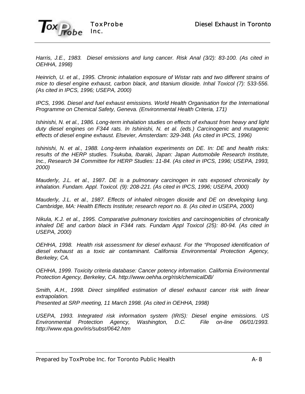

*Harris, J.E., 1983. Diesel emissions and lung cancer. Risk Anal (3/2): 83-100. (As cited in OEHHA, 1998)*

*Heinrich, U. et al., 1995. Chronic inhalation exposure of Wistar rats and two different strains of mice to diesel engine exhaust, carbon black, and titanium dioxide. Inhal Toxicol (7): 533-556. (As cited in IPCS, 1996; USEPA, 2000)*

*IPCS, 1996. Diesel and fuel exhaust emissions. World Health Organisation for the International Programme on Chemical Safety, Geneva. (Environmental Health Criteria, 171)*

*Ishinishi, N. et al., 1986. Long-term inhalation studies on effects of exhaust from heavy and light duty diesel engines on F344 rats. In Ishinishi, N. et al. (eds.) Carcinogenic and mutagenic effects of diesel engine exhaust. Elsevier, Amsterdam: 329-348. (As cited in IPCS, 1996)*

*Ishinishi, N. et al., 1988. Long-term inhalation experiments on DE. In: DE and health risks: results of the HERP studies. Tsukuba, Ibaraki, Japan: Japan Automobile Research Institute, Inc., Research 34 Committee for HERP Studies: 11-84. (As cited in IPCS, 1996; USEPA, 1993, 2000)*

*Mauderly, J.L. et al., 1987. DE is a pulmonary carcinogen in rats exposed chronically by inhalation. Fundam. Appl. Toxicol. (9): 208-221. (As cited in IPCS, 1996; USEPA, 2000)*

*Mauderly, J.L. et al., 1987. Effects of inhaled nitrogen dioxide and DE on developing lung. Cambridge, MA: Health Effects Institute; research report no. 8. (As cited in USEPA, 2000)*

*Nikula, K.J. et al., 1995. Comparative pulmonary toxicities and carcinogenicities of chronically inhaled DE and carbon black in F344 rats. Fundam Appl Toxicol (25): 80-94. (As cited in USEPA, 2000)*

*OEHHA, 1998. Health risk assessment for diesel exhaust. For the "Proposed identification of diesel exhaust as a toxic air contaminant. California Environmental Protection Agency, Berkeley, CA.*

*OEHHA, 1999. Toxicity criteria database: Cancer potency information. California Environmental Protection Agency, Berkeley, CA. http://www.oehha.org/risk/chemicalDB/*

*Smith, A.H., 1998. Direct simplified estimation of diesel exhaust cancer risk with linear extrapolation. Presented at SRP meeting, 11 March 1998. (As cited in OEHHA, 1998)*

*USEPA, 1993. Integrated risk information system (IRIS): Diesel engine emissions. US Environmental Protection Agency, Washington, D.C. File on-line 06/01/1993. http://www.epa.gov/iris/subst/0642.htm*